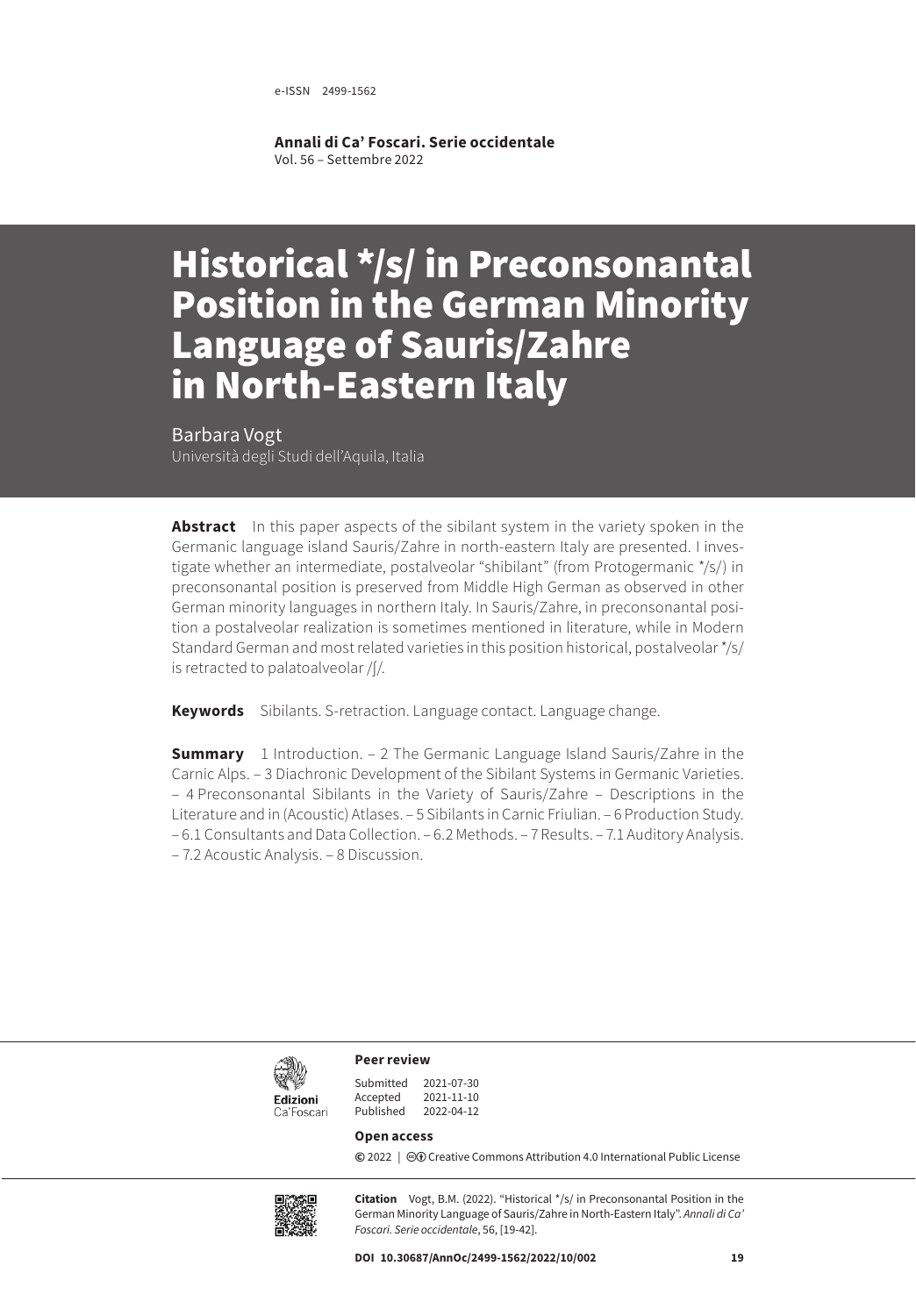e-ISSN 2499-1562

**Annali di Ca' Foscari. Serie occidentale** Vol. 56 – Settembre 2022

# Historical \*/s/ in Preconsonantal Position in the German Minority Language of Sauris/Zahre in North-Eastern Italy

Barbara Vogt Università degli Studi dell'Aquila, Italia

**Abstract** In this paper aspects of the sibilant system in the variety spoken in the Germanic language island Sauris/Zahre in north-eastern Italy are presented. I investigate whether an intermediate, postalveolar "shibilant" (from Protogermanic \*/s/) in preconsonantal position is preserved from Middle High German as observed in other German minority languages in northern Italy. In Sauris/Zahre, in preconsonantal position a postalveolar realization is sometimes mentioned in literature, while in Modern Standard German and most related varieties in this position historical, postalveolar \*/s/ is retracted to palatoalveolar /ʃ/.

**Keywords** Sibilants. S-retraction. Language contact. Language change.

**Summary** [1 Introduction](#page-1-0). – 2 The Germanic Language Island Sauris/Zahre in the [Carnic Alps](#page-2-0). – [3 Diachronic Development of the Sibilant Systems in Germanic Varieties.](#page-3-0) – 4 [Preconsonantal Sibilants in the Variety of Sauris/Zahre – Descriptions in the](#page-5-0)  [Literature and in \(Acoustic\) Atlases](#page-5-0). – [5 Sibilants in Carnic Friulian.](#page-7-0) – [6 Production Study.](#page-9-0) – 6.1 [Consultants and Data Collection.](#page-9-0) – [6.2 Methods.](#page-10-0) – [7 Results](#page-12-0). – [7.1 Auditory Analysis.](#page-12-0) – 7.2 [Acoustic Analysis](#page-13-0). – [8 Discussion.](#page-15-0)



**Peer review**

| 2021-07-30 |
|------------|
| 2021-11-10 |
| 2022-04-12 |
|            |

#### **Open access**

**©** 2022 | ©**O** [Creative Commons Attribution 4.0 International Public License](https://creativecommons.org/licenses/by/4.0/)



**Citation** Vogt, B.M. (2022). "Historical \*/s/ in Preconsonantal Position in the German Minority Language of Sauris/Zahre in North-Eastern Italy". *Annali di Ca' Foscari. Serie occidentale*, 56, [19-42].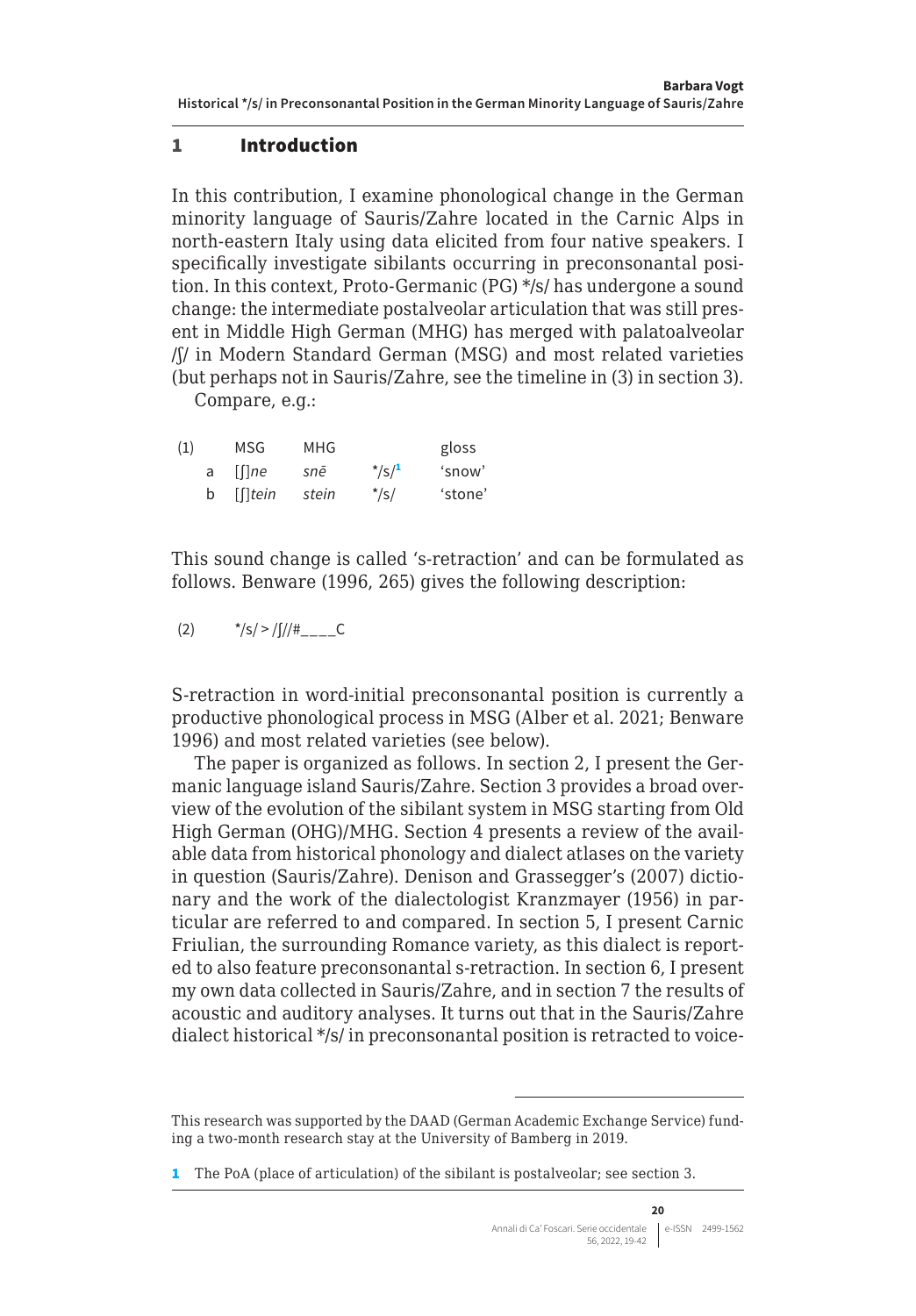#### <span id="page-1-0"></span>1 Introduction

In this contribution, I examine phonological change in the German minority language of Sauris/Zahre located in the Carnic Alps in north-eastern Italy using data elicited from four native speakers. I specifically investigate sibilants occurring in preconsonantal position. In this context, Proto-Germanic (PG) \*/s/ has undergone a sound change: the intermediate postalveolar articulation that was still present in Middle High German (MHG) has merged with palatoalveolar /ʃ/ in Modern Standard German (MSG) and most related varieties (but perhaps not in Sauris/Zahre, see the timeline in (3) in section 3).

Compare, e.g.:

| (1) |   | MSG                             | MHG   |                      | gloss   |
|-----|---|---------------------------------|-------|----------------------|---------|
|     | a | $\lceil \lceil \cdot \rceil$ ne | snē   | $*$ /s/ <sup>1</sup> | 'snow'  |
|     | b | $[$ [ $]$ tein                  | stein | $*$ /s/              | 'stone' |

This sound change is called 's-retraction' and can be formulated as follows. Benware (1996, 265) gives the following description:

(2)  $*/s/>/(1/#_{---}C)$ 

S-retraction in word-initial preconsonantal position is currently a productive phonological process in MSG (Alber et al. 2021; Benware 1996) and most related varieties (see below).

The paper is organized as follows. In section 2, I present the Germanic language island Sauris/Zahre. Section 3 provides a broad overview of the evolution of the sibilant system in MSG starting from Old High German (OHG)/MHG. Section 4 presents a review of the available data from historical phonology and dialect atlases on the variety in question (Sauris/Zahre). Denison and Grassegger's (2007) dictionary and the work of the dialectologist Kranzmayer (1956) in particular are referred to and compared. In section 5, I present Carnic Friulian, the surrounding Romance variety, as this dialect is reported to also feature preconsonantal s-retraction. In section 6, I present my own data collected in Sauris/Zahre, and in section 7 the results of acoustic and auditory analyses. It turns out that in the Sauris/Zahre dialect historical \*/s/ in preconsonantal position is retracted to voice-

This research was supported by the DAAD (German Academic Exchange Service) funding a two-month research stay at the University of Bamberg in 2019.

<sup>1</sup> The PoA (place of articulation) of the sibilant is postalveolar; see section 3.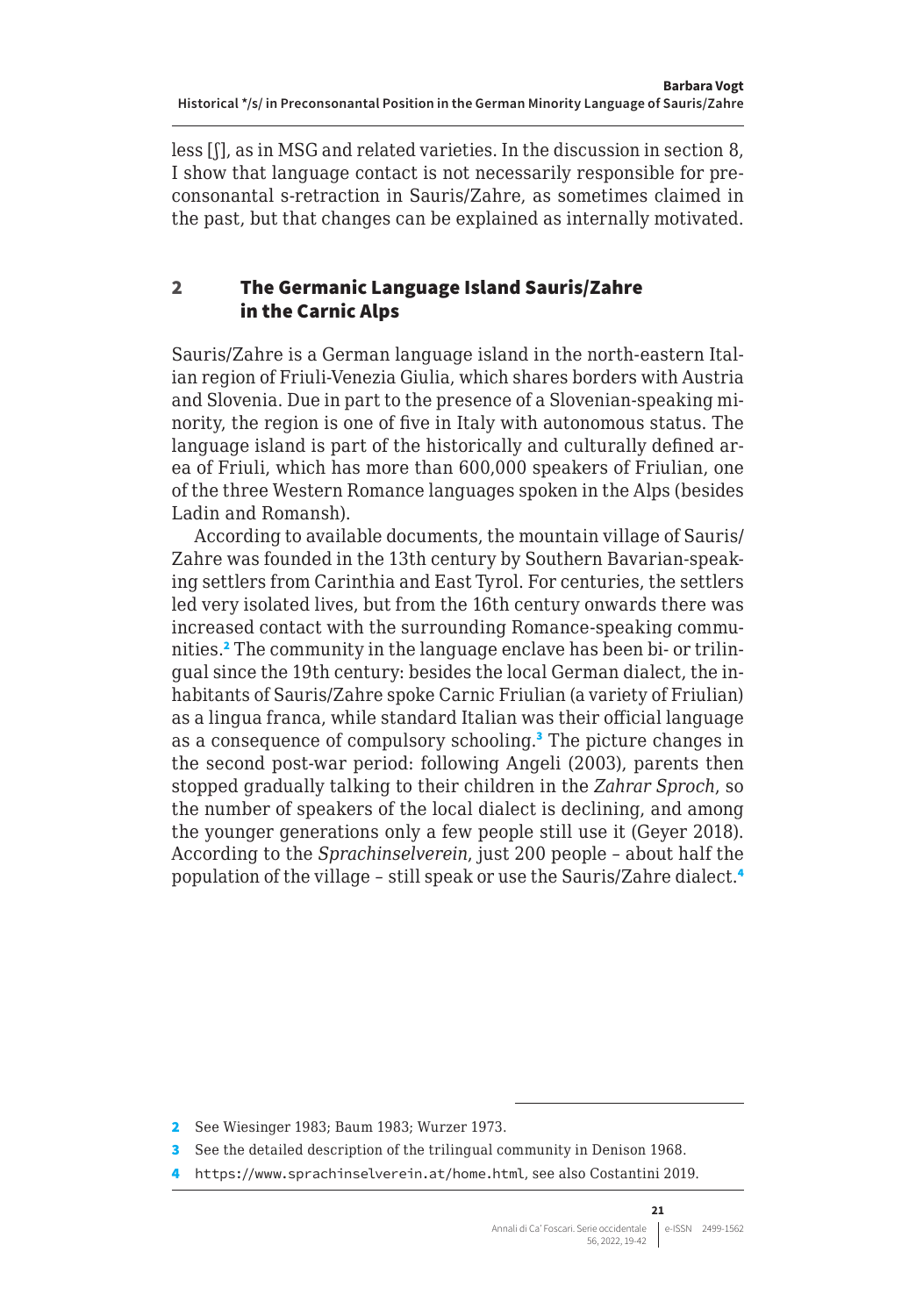<span id="page-2-0"></span>less [ʃ], as in MSG and related varieties. In the discussion in section 8, I show that language contact is not necessarily responsible for preconsonantal s-retraction in Sauris/Zahre, as sometimes claimed in the past, but that changes can be explained as internally motivated.

#### 2 The Germanic Language Island Sauris/Zahre in the Carnic Alps

Sauris/Zahre is a German language island in the north-eastern Italian region of Friuli-Venezia Giulia, which shares borders with Austria and Slovenia. Due in part to the presence of a Slovenian-speaking minority, the region is one of five in Italy with autonomous status. The language island is part of the historically and culturally defined area of Friuli, which has more than 600,000 speakers of Friulian, one of the three Western Romance languages spoken in the Alps (besides Ladin and Romansh).

According to available documents, the mountain village of Sauris/ Zahre was founded in the 13th century by Southern Bavarian-speaking settlers from Carinthia and East Tyrol. For centuries, the settlers led very isolated lives, but from the 16th century onwards there was increased contact with the surrounding Romance-speaking communities.<sup>2</sup> The community in the language enclave has been bi- or trilingual since the 19th century: besides the local German dialect, the inhabitants of Sauris/Zahre spoke Carnic Friulian (a variety of Friulian) as a lingua franca, while standard Italian was their official language as a consequence of compulsory schooling.<sup>3</sup> The picture changes in the second post-war period: following Angeli (2003), parents then stopped gradually talking to their children in the *Zahrar Sproch*, so the number of speakers of the local dialect is declining, and among the younger generations only a few people still use it (Geyer 2018). According to the *Sprachinselverein*, just 200 people – about half the population of the village – still speak or use the Sauris/Zahre dialect.<sup>4</sup>

<sup>2</sup> See Wiesinger 1983; Baum 1983; Wurzer 1973.

<sup>3</sup> See the detailed description of the trilingual community in Denison 1968.

<sup>4</sup> <https://www.sprachinselverein.at/home.html>, see also Costantini 2019.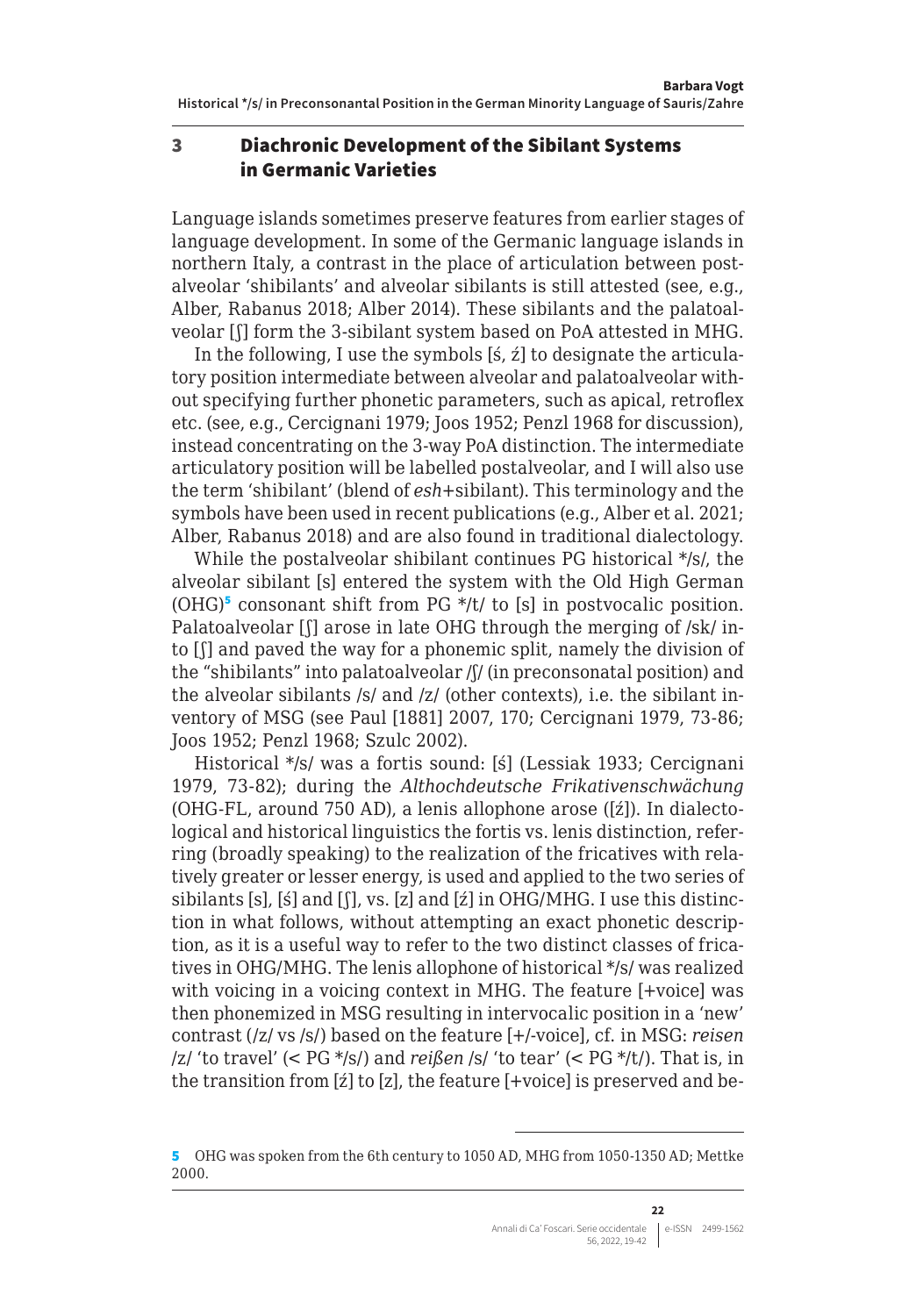#### <span id="page-3-0"></span>3 Diachronic Development of the Sibilant Systems in Germanic Varieties

Language islands sometimes preserve features from earlier stages of language development. In some of the Germanic language islands in northern Italy, a contrast in the place of articulation between postalveolar 'shibilants' and alveolar sibilants is still attested (see, e.g., Alber, Rabanus 2018; Alber 2014). These sibilants and the palatoalveolar [ʃ] form the 3-sibilant system based on PoA attested in MHG.

In the following, I use the symbols [ś, ź] to designate the articulatory position intermediate between alveolar and palatoalveolar without specifying further phonetic parameters, such as apical, retroflex etc. (see, e.g., Cercignani 1979; Joos 1952; Penzl 1968 for discussion), instead concentrating on the 3-way PoA distinction. The intermediate articulatory position will be labelled postalveolar, and I will also use the term 'shibilant' (blend of *esh*+sibilant). This terminology and the symbols have been used in recent publications (e.g., Alber et al. 2021; Alber, Rabanus 2018) and are also found in traditional dialectology.

While the postalveolar shibilant continues PG historical \*/s/, the alveolar sibilant [s] entered the system with the Old High German  $(OHG)^5$  consonant shift from PG  $*/t/$  to [s] in postvocalic position. Palatoalveolar [f] arose in late OHG through the merging of /sk/ into [ʃ] and paved the way for a phonemic split, namely the division of the "shibilants" into palatoalveolar /ʃ/ (in preconsonatal position) and the alveolar sibilants /s/ and /z/ (other contexts), i.e. the sibilant inventory of MSG (see Paul [1881] 2007, 170; Cercignani 1979, 73-86; Joos 1952; Penzl 1968; Szulc 2002).

Historical \*/s/ was a fortis sound: [ś] (Lessiak 1933; Cercignani 1979, 73-82); during the *Althochdeutsche Frikativenschwächung*  (OHG-FL, around 750 AD), a lenis allophone arose ([ź]). In dialectological and historical linguistics the fortis vs. lenis distinction, referring (broadly speaking) to the realization of the fricatives with relatively greater or lesser energy, is used and applied to the two series of sibilants [s], [ś] and [ʃ], vs. [z] and [ź] in OHG/MHG. I use this distinction in what follows, without attempting an exact phonetic description, as it is a useful way to refer to the two distinct classes of fricatives in OHG/MHG. The lenis allophone of historical \*/s/ was realized with voicing in a voicing context in MHG. The feature [+voice] was then phonemized in MSG resulting in intervocalic position in a 'new' contrast (/z/ vs /s/) based on the feature [+/-voice], cf. in MSG: *reisen* /z/ 'to travel' (< PG \*/s/) and *reißen* /s/ 'to tear' (< PG \*/t/). That is, in the transition from [ź] to [z], the feature [+voice] is preserved and be-

<sup>5</sup> OHG was spoken from the 6th century to 1050 AD, MHG from 1050-1350 AD; Mettke 2000.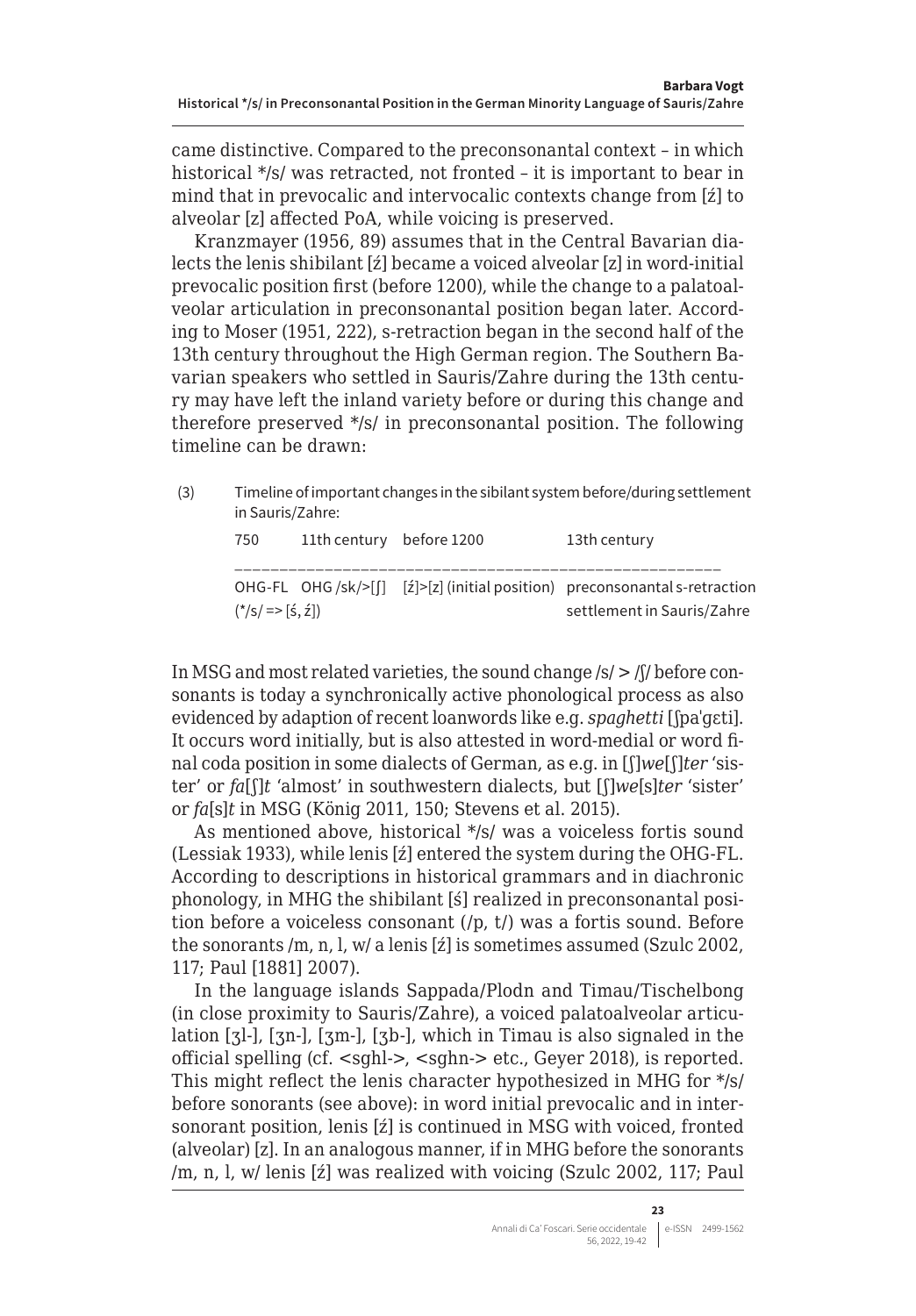came distinctive. Compared to the preconsonantal context – in which historical \*/s/ was retracted, not fronted – it is important to bear in mind that in prevocalic and intervocalic contexts change from [ź] to alveolar [z] affected PoA, while voicing is preserved.

Kranzmayer (1956, 89) assumes that in the Central Bavarian dialects the lenis shibilant [ź] became a voiced alveolar [z] in word-initial prevocalic position first (before 1200), while the change to a palatoalveolar articulation in preconsonantal position began later. According to Moser (1951, 222), s-retraction began in the second half of the 13th century throughout the High German region. The Southern Bavarian speakers who settled in Sauris/Zahre during the 13th century may have left the inland variety before or during this change and therefore preserved \*/s/ in preconsonantal position. The following timeline can be drawn:

| (3) | in Sauris/Zahre: |                          | Timeline of important changes in the sibilant system before/during settlement |
|-----|------------------|--------------------------|-------------------------------------------------------------------------------|
|     | 750              | 11th century before 1200 | 13th century                                                                  |

|                   | OHG-FL OHG /sk/>[ $\int$ ] $\int$ $\int$ [ $\vert z \vert$ ] (initial position) preconsonantal s-retraction |
|-------------------|-------------------------------------------------------------------------------------------------------------|
| $(*/s/=> [5, 2])$ | settlement in Sauris/Zahre                                                                                  |

In MSG and most related varieties, the sound change /s/ > /ʃ/ before consonants is today a synchronically active phonological process as also evidenced by adaption of recent loanwords like e.g. *spaghetti* [ʃpaˈɡɛti]. It occurs word initially, but is also attested in word-medial or word final coda position in some dialects of German, as e.g. in [ʃ]*we*[ʃ]*ter* 'sister' or *fa*[ʃ]*t* 'almost' in southwestern dialects, but [ʃ]*we*[s]*ter* 'sister' or *fa*[s]*t* in MSG (König 2011, 150; Stevens et al. 2015).

As mentioned above, historical \*/s/ was a voiceless fortis sound (Lessiak 1933), while lenis [ź] entered the system during the OHG-FL. According to descriptions in historical grammars and in diachronic phonology, in MHG the shibilant [ś] realized in preconsonantal position before a voiceless consonant (/p, t/) was a fortis sound. Before the sonorants /m, n, l, w/ a lenis [ź] is sometimes assumed (Szulc 2002, 117; Paul [1881] 2007).

In the language islands Sappada/Plodn and Timau/Tischelbong (in close proximity to Sauris/Zahre), a voiced palatoalveolar articulation [ʒl-], [ʒn-], [ʒm-], [ʒb-], which in Timau is also signaled in the official spelling (cf. <sghl->, <sghn-> etc., Geyer 2018), is reported. This might reflect the lenis character hypothesized in MHG for \*/s/ before sonorants (see above): in word initial prevocalic and in intersonorant position, lenis [ź] is continued in MSG with voiced, fronted (alveolar) [z]. In an analogous manner, if in MHG before the sonorants /m, n, l, w/ lenis [ź] was realized with voicing (Szulc 2002, 117; Paul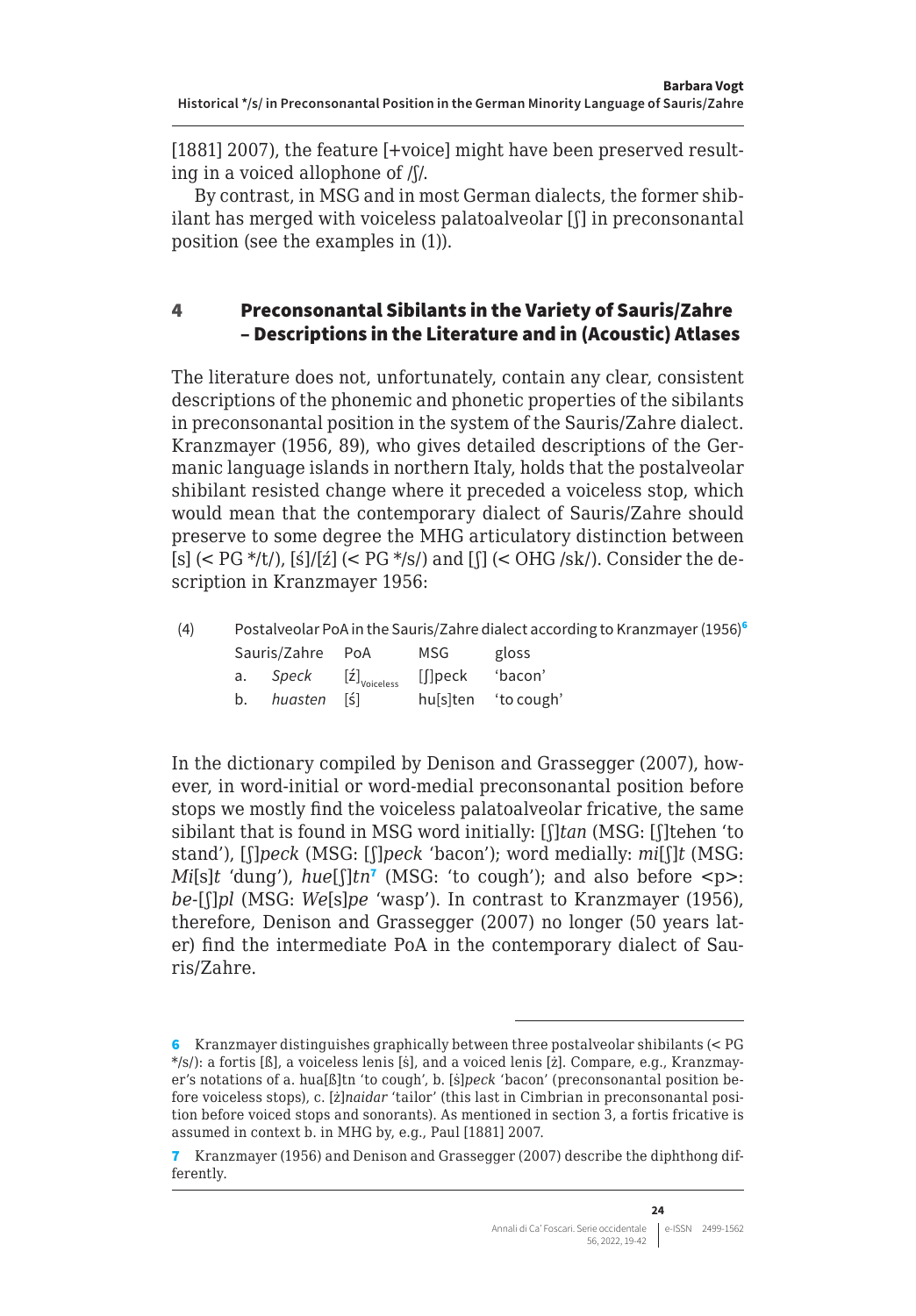<span id="page-5-0"></span>[1881] 2007), the feature [+voice] might have been preserved resulting in a voiced allophone of /ʃ/.

By contrast, in MSG and in most German dialects, the former shibilant has merged with voiceless palatoalveolar [ʃ] in preconsonantal position (see the examples in (1)).

#### 4 Preconsonantal Sibilants in the Variety of Sauris/Zahre – Descriptions in the Literature and in (Acoustic) Atlases

The literature does not, unfortunately, contain any clear, consistent descriptions of the phonemic and phonetic properties of the sibilants in preconsonantal position in the system of the Sauris/Zahre dialect. Kranzmayer (1956, 89), who gives detailed descriptions of the Germanic language islands in northern Italy, holds that the postalveolar shibilant resisted change where it preceded a voiceless stop, which would mean that the contemporary dialect of Sauris/Zahre should preserve to some degree the MHG articulatory distinction between [s]  $(<$  PG  $*/t/$ ), [ś]/[ź]  $(<$  PG  $*/s/$ ) and [f]  $(<$  OHG /sk/). Consider the description in Kranzmayer 1956:

| (4) | Postalveolar PoA in the Sauris/Zahre dialect according to Kranzmayer (1956) <sup>6</sup> |  |            |                     |  |  |  |
|-----|------------------------------------------------------------------------------------------|--|------------|---------------------|--|--|--|
|     | Sauris/Zahre PoA                                                                         |  | <b>MSG</b> | gloss               |  |  |  |
|     | a. <i>Speck</i> [ź] <sub>voiceless</sub> [∬peck                                          |  |            | 'bacon'             |  |  |  |
|     | b. <i>huasten</i> [ś]                                                                    |  |            | hussiten 'to cough' |  |  |  |

In the dictionary compiled by Denison and Grassegger (2007), however, in word-initial or word-medial preconsonantal position before stops we mostly find the voiceless palatoalveolar fricative, the same sibilant that is found in MSG word initially: [ʃ]*tan* (MSG: [ʃ]tehen 'to stand'), [ʃ]*peck* (MSG: [ʃ]*peck* 'bacon'); word medially: *mi*[ʃ]*t* (MSG: *Mi*[s]*t* 'dung'), *hue*[ʃ]*tn*<sup>7</sup> (MSG: 'to cough'); and also before <p>: *be-*[ʃ]*pl* (MSG: *We*[s]*pe* 'wasp'). In contrast to Kranzmayer (1956), therefore, Denison and Grassegger (2007) no longer (50 years later) find the intermediate PoA in the contemporary dialect of Sauris/Zahre.

<sup>6</sup> Kranzmayer distinguishes graphically between three postalveolar shibilants (< PG \*/s/): a fortis [ß̇], a voiceless lenis [ṡ], and a voiced lenis [ż]. Compare, e.g., Kranzmayer's notations of a. hua[ß̇]tn 'to cough', b. [ṡ]*peck* 'bacon' (preconsonantal position before voiceless stops), c. [ż]*naidar* 'tailor' (this last in Cimbrian in preconsonantal position before voiced stops and sonorants). As mentioned in section 3, a fortis fricative is assumed in context b. in MHG by, e.g., Paul [1881] 2007.

<sup>7</sup> Kranzmayer (1956) and Denison and Grassegger (2007) describe the diphthong differently.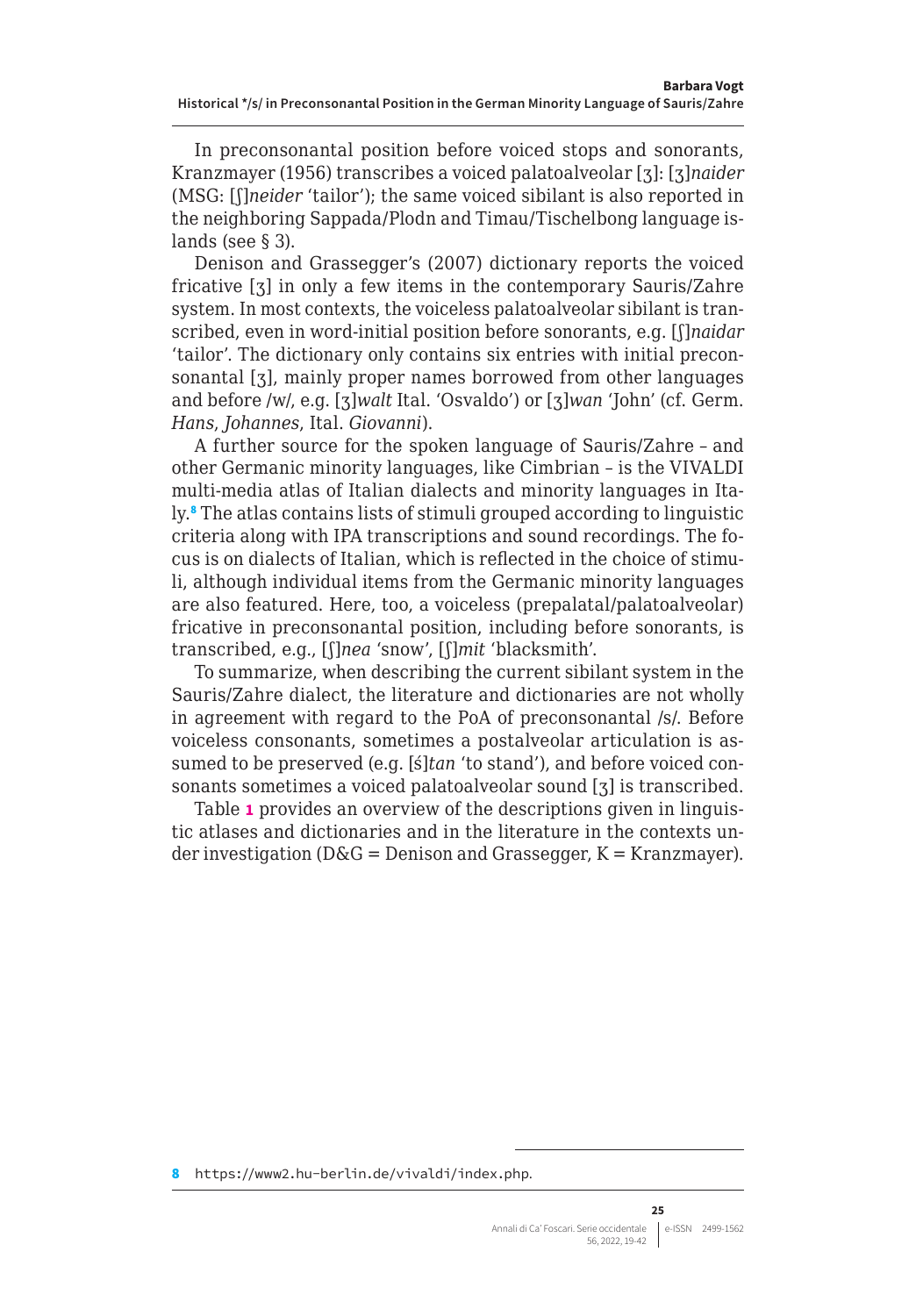In preconsonantal position before voiced stops and sonorants, Kranzmayer (1956) transcribes a voiced palatoalveolar [ʒ]: [ʒ]*naider* (MSG: [ʃ]*neider* 'tailor'); the same voiced sibilant is also reported in the neighboring Sappada/Plodn and Timau/Tischelbong language islands (see § 3).

Denison and Grassegger's (2007) dictionary reports the voiced fricative [ʒ] in only a few items in the contemporary Sauris/Zahre system. In most contexts, the voiceless palatoalveolar sibilant is transcribed, even in word-initial position before sonorants, e.g. [ʃ]*naidar* 'tailor'. The dictionary only contains six entries with initial preconsonantal [ʒ], mainly proper names borrowed from other languages and before /w/, e.g. [ʒ]*walt* Ital. 'Osvaldo') or [ʒ]*wan* 'John' (cf. Germ. *Hans*, *Johannes*, Ital. *Giovanni*).

A further source for the spoken language of Sauris/Zahre – and other Germanic minority languages, like Cimbrian – is the VIVALDI multi-media atlas of Italian dialects and minority languages in Italy.<sup>8</sup> The atlas contains lists of stimuli grouped according to linguistic criteria along with IPA transcriptions and sound recordings. The focus is on dialects of Italian, which is reflected in the choice of stimuli, although individual items from the Germanic minority languages are also featured. Here, too, a voiceless (prepalatal/palatoalveolar) fricative in preconsonantal position, including before sonorants, is transcribed, e.g., [ʃ]*nea* 'snow', [ʃ]*mit* 'blacksmith'.

To summarize, when describing the current sibilant system in the Sauris/Zahre dialect, the literature and dictionaries are not wholly in agreement with regard to the PoA of preconsonantal /s/. Before voiceless consonants, sometimes a postalveolar articulation is assumed to be preserved (e.g. [ś]*tan* 'to stand'), and before voiced consonants sometimes a voiced palatoalveolar sound [ʒ] is transcribed.

Table **1** provides an overview of the descriptions given in linguistic atlases and dictionaries and in the literature in the contexts under investigation ( $D&G =$  Denison and Grassegger,  $K =$  Kranzmayer).

<sup>8</sup> <https://www2.hu-berlin.de/vivaldi/index.php>.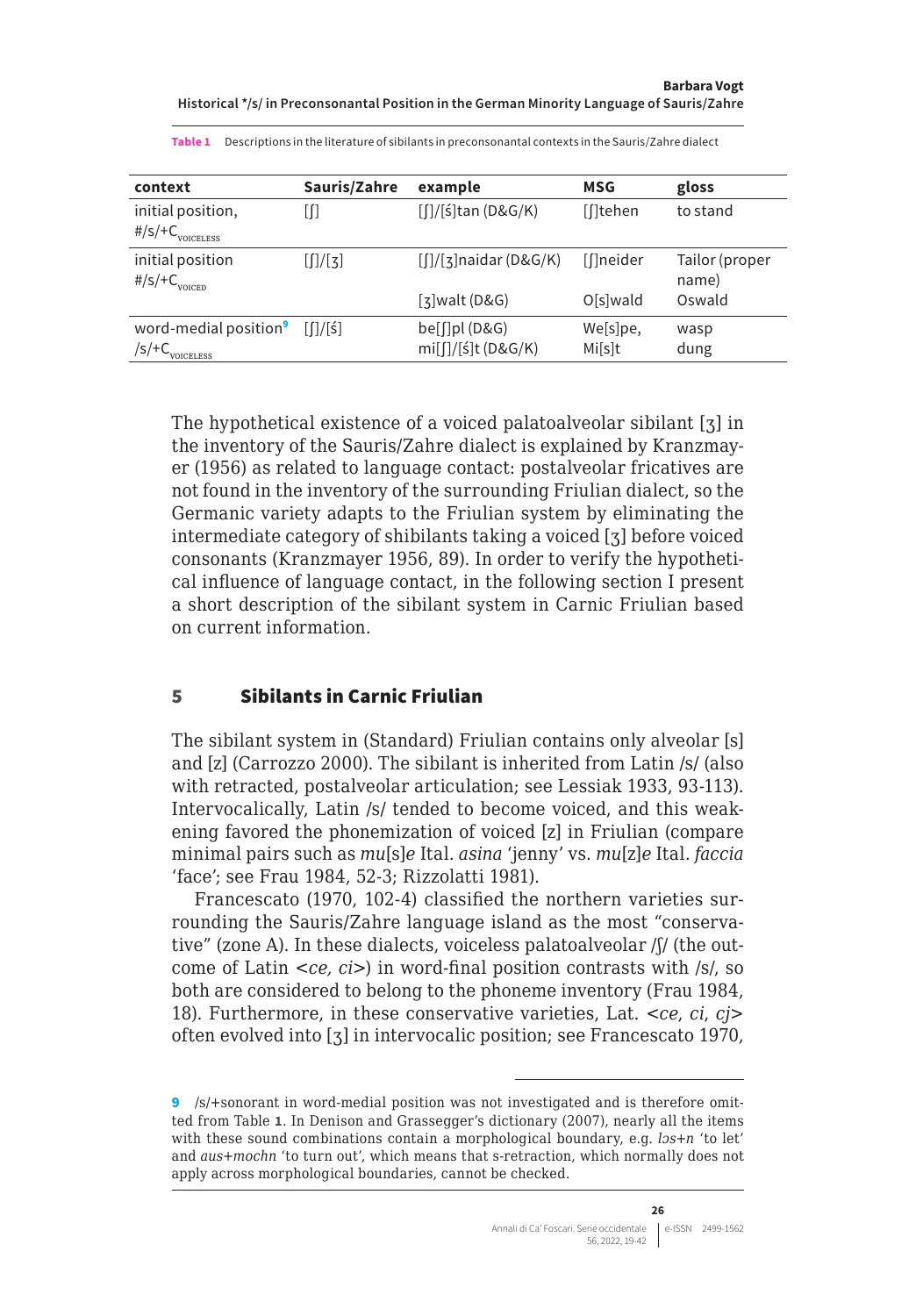<span id="page-7-0"></span>

| context                                                    | Sauris/Zahre               | example                                      | MSG               | gloss                   |
|------------------------------------------------------------|----------------------------|----------------------------------------------|-------------------|-------------------------|
| initial position,<br>$\#/s$ /+ $C_{\text{volecules}}$      | [∏                         | $\left[\frac{1}{5}\right]$ tan (D&G/K)       | [[Itehen          | to stand                |
| initial position<br>$\frac{\#}{S}$ / + C <sub>voiced</sub> | [[]/[3]                    | $\lceil \frac{1}{3} \rceil$ naidar (D&G/K)   | [[]neider         | Tailor (proper<br>name) |
|                                                            |                            | $\lceil$ 3 walt (D&G)                        | O[s]wald          | Oswald                  |
| word-medial position <sup>9</sup><br>/s/+C<br>VOICEI ESS   | $\left[\frac{1}{5}\right]$ | $be[$ [ $]$ pl $(D&G)$<br>mi[ʃ]/[ś]t (D&G/K) | We[s]pe,<br>Misit | wasp<br>dung            |

**Table 1** Descriptions in the literature of sibilants in preconsonantal contexts in the Sauris/Zahre dialect

The hypothetical existence of a voiced palatoalveolar sibilant [ʒ] in the inventory of the Sauris/Zahre dialect is explained by Kranzmayer (1956) as related to language contact: postalveolar fricatives are not found in the inventory of the surrounding Friulian dialect, so the Germanic variety adapts to the Friulian system by eliminating the intermediate category of shibilants taking a voiced [ʒ] before voiced consonants (Kranzmayer 1956, 89). In order to verify the hypothetical influence of language contact, in the following section I present a short description of the sibilant system in Carnic Friulian based on current information.

#### 5 Sibilants in Carnic Friulian

The sibilant system in (Standard) Friulian contains only alveolar [s] and [z] (Carrozzo 2000). The sibilant is inherited from Latin /s/ (also with retracted, postalveolar articulation; see Lessiak 1933, 93-113). Intervocalically, Latin /s/ tended to become voiced, and this weakening favored the phonemization of voiced [z] in Friulian (compare minimal pairs such as *mu*[s]*e* Ital. *asina* 'jenny' vs. *mu*[z]*e* Ital. *faccia* 'face'; see Frau 1984, 52-3; Rizzolatti 1981).

Francescato (1970, 102-4) classified the northern varieties surrounding the Sauris/Zahre language island as the most "conservative" (zone A). In these dialects, voiceless palatoalveolar /ʃ/ (the outcome of Latin <*ce, ci*>) in word-final position contrasts with /s/, so both are considered to belong to the phoneme inventory (Frau 1984, 18). Furthermore, in these conservative varieties, Lat. <*ce*, *ci*, *cj*> often evolved into [ʒ] in intervocalic position; see Francescato 1970,

<sup>9</sup> /s/+sonorant in word-medial position was not investigated and is therefore omitted from Table **1**. In Denison and Grassegger's dictionary (2007), nearly all the items with these sound combinations contain a morphological boundary, e.g. *lɔs+n* 'to let' and *aus+mochn* 'to turn out', which means that s-retraction, which normally does not apply across morphological boundaries, cannot be checked.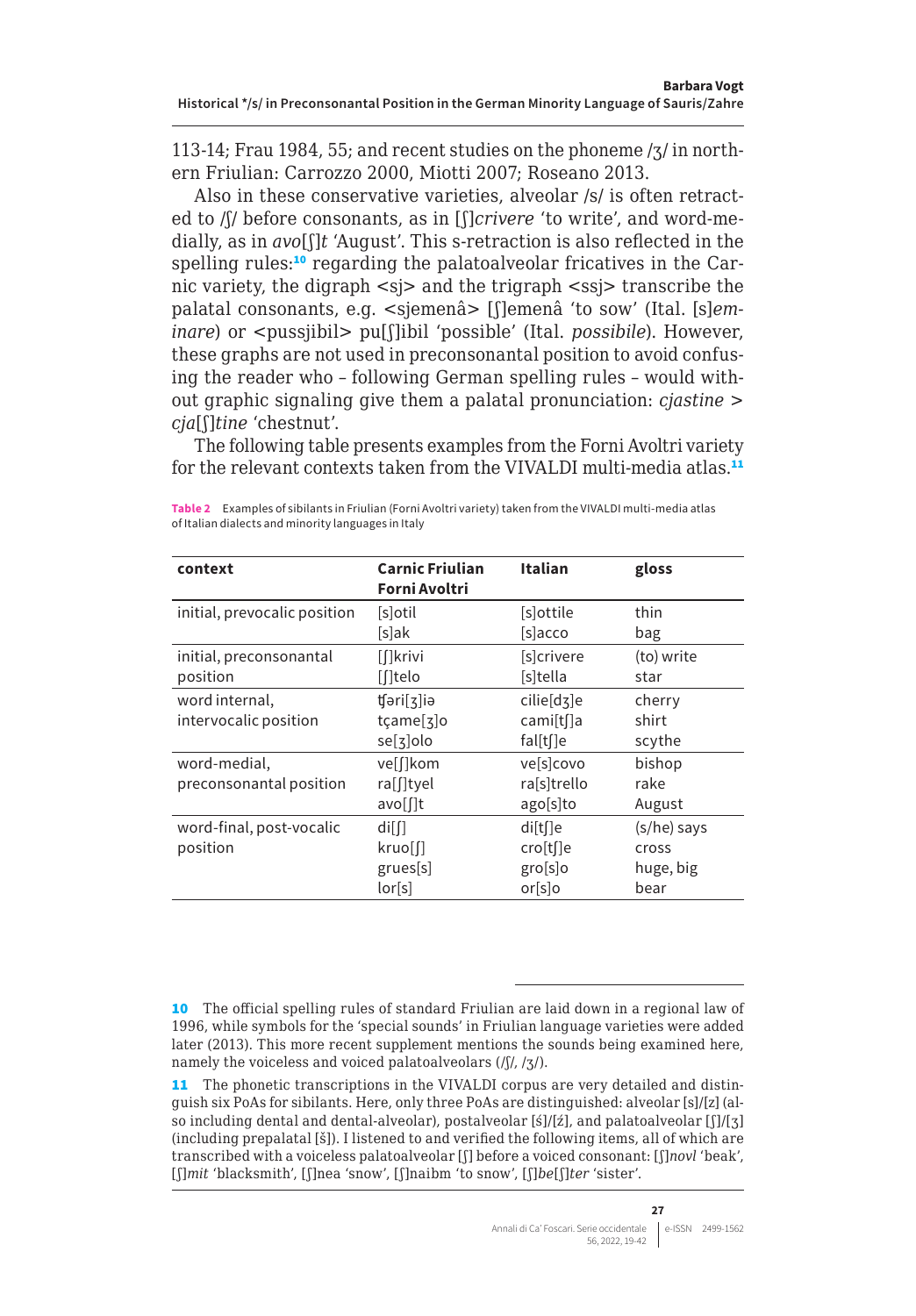113-14; Frau 1984, 55; and recent studies on the phoneme /ʒ/ in northern Friulian: Carrozzo 2000, Miotti 2007; Roseano 2013.

Also in these conservative varieties, alveolar /s/ is often retracted to /ʃ/ before consonants, as in [ʃ]*crivere* 'to write', and word-medially, as in *avo*[ʃ]*t* 'August'. This s-retraction is also reflected in the spelling rules:<sup>10</sup> regarding the palatoalveolar fricatives in the Carnic variety, the digraph <sj> and the trigraph <ssj> transcribe the palatal consonants, e.g. <sjemenâ> [ʃ]emenâ 'to sow' (Ital. [s]*eminare*) or <pussjibil> pu[*f*]ibil 'possible' (Ital. *possibile*). However, these graphs are not used in preconsonantal position to avoid confusing the reader who – following German spelling rules – would without graphic signaling give them a palatal pronunciation: *cjastine* > *cja*[ʃ]*tine* 'chestnut'.

The following table presents examples from the Forni Avoltri variety for the relevant contexts taken from the VIVALDI multi-media atlas.<sup>11</sup>

| context                      | <b>Carnic Friulian</b><br>Forni Avoltri | Italian     | gloss       |
|------------------------------|-----------------------------------------|-------------|-------------|
| initial, prevocalic position | [s]otil                                 | [s]ottile   | thin        |
|                              | [s]ak                                   | [s]acco     | bag         |
| initial, preconsonantal      | [[]krivi                                | [s]crivere  | (to) write  |
| position                     | [[Itelo                                 | [s]tella    | star        |
| word internal,               | tfəri[ʒ]iə                              | cilie[dʒ]e  | cherry      |
| intervocalic position        | tçame[3]o                               | cami[t[]a   | shirt       |
|                              | $se[7]$ olo                             | fal[t[]e    | scythe      |
| word-medial,                 | vel[kom                                 | velsicovo   | bishop      |
| preconsonantal position      | ra[[ltyel                               | rassitrello | rake        |
|                              | avo[[]t                                 | ago[s]to    | August      |
| word-final, post-vocalic     | di[                                     | di[t[]e     | (s/he) says |
| position                     | kruoll                                  | cro[t[]e    | cross       |
|                              | grues[s]                                | gro[s]o     | huge, big   |
|                              | or[s]                                   | or[s]o      | bear        |

**Table 2** Examples of sibilants in Friulian (Forni Avoltri variety) taken from the VIVALDI multi-media atlas of Italian dialects and minority languages in Italy

<sup>10</sup> The official spelling rules of standard Friulian are laid down in a regional law of 1996, while symbols for the 'special sounds' in Friulian language varieties were added later (2013). This more recent supplement mentions the sounds being examined here, namely the voiceless and voiced palatoalveolars (/ʃ/, /ʒ/).

<sup>11</sup> The phonetic transcriptions in the VIVALDI corpus are very detailed and distinguish six PoAs for sibilants. Here, only three PoAs are distinguished: alveolar [s]/[z] (also including dental and dental-alveolar), postalveolar [ś]/[ź], and palatoalveolar [ʃ]/[ʒ] (including prepalatal [š]). I listened to and verified the following items, all of which are transcribed with a voiceless palatoalveolar [ʃ] before a voiced consonant: [ʃ]*novl* 'beak', [ʃ]*mit* 'blacksmith', [ʃ]nea 'snow', [ʃ]naibm 'to snow', [ʃ]*be*[ʃ]*ter* 'sister'.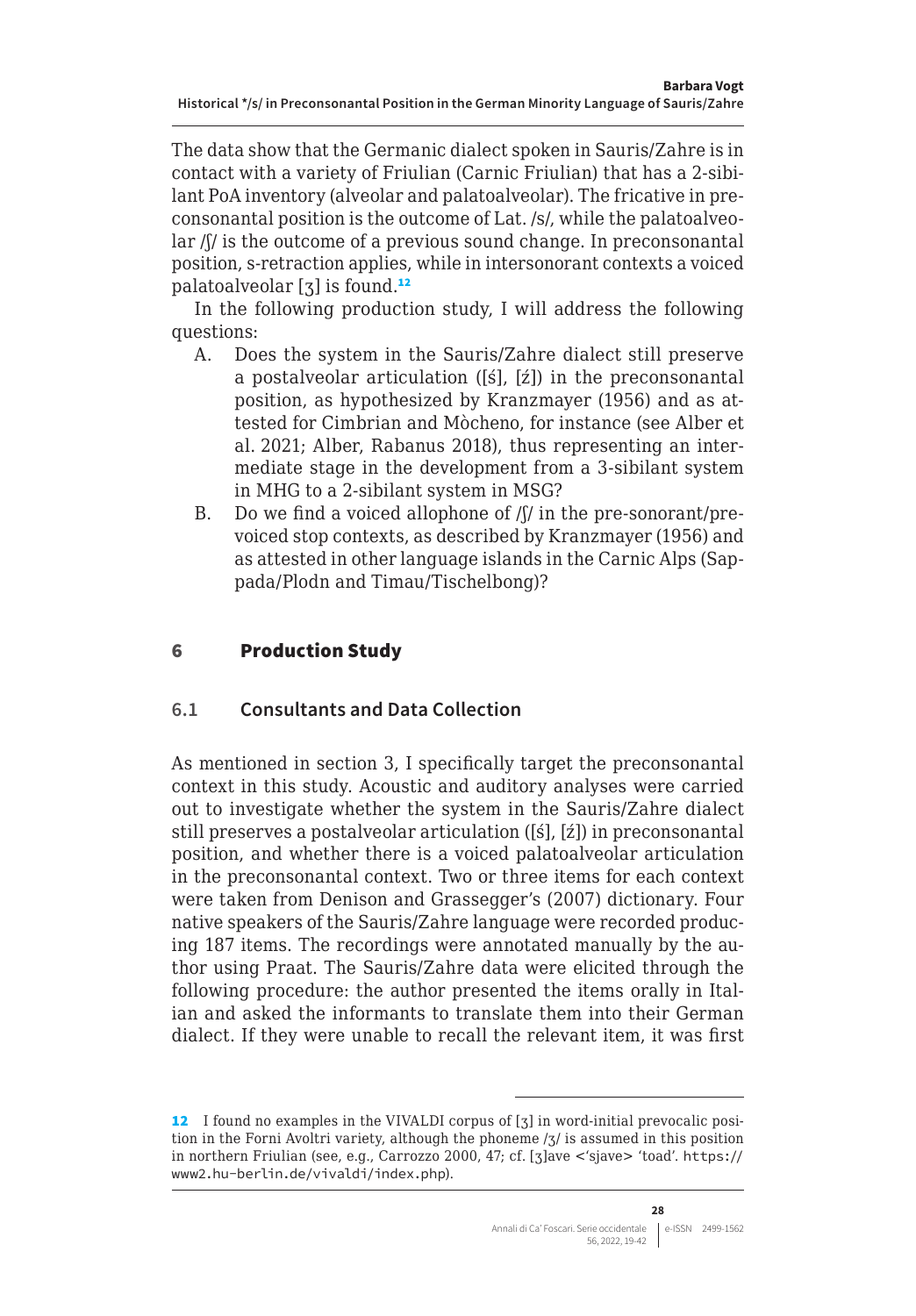<span id="page-9-0"></span>The data show that the Germanic dialect spoken in Sauris/Zahre is in contact with a variety of Friulian (Carnic Friulian) that has a 2-sibilant PoA inventory (alveolar and palatoalveolar). The fricative in preconsonantal position is the outcome of Lat. /s/, while the palatoalveolar /ʃ/ is the outcome of a previous sound change. In preconsonantal position, s-retraction applies, while in intersonorant contexts a voiced palatoalveolar  $\left[3\right]$  is found.<sup>12</sup>

In the following production study, I will address the following questions:

- A. Does the system in the Sauris/Zahre dialect still preserve a postalveolar articulation ([ś], [ź]) in the preconsonantal position, as hypothesized by Kranzmayer (1956) and as attested for Cimbrian and Mòcheno, for instance (see Alber et al. 2021; Alber, Rabanus 2018), thus representing an intermediate stage in the development from a 3-sibilant system in MHG to a 2-sibilant system in MSG?
- B. Do we find a voiced allophone of  $/$ [ $/$  in the pre-sonorant/prevoiced stop contexts, as described by Kranzmayer (1956) and as attested in other language islands in the Carnic Alps (Sappada/Plodn and Timau/Tischelbong)?

### 6 Production Study

#### **6.1 Consultants and Data Collection**

As mentioned in section 3, I specifically target the preconsonantal context in this study. Acoustic and auditory analyses were carried out to investigate whether the system in the Sauris/Zahre dialect still preserves a postalveolar articulation ([ś], [ź]) in preconsonantal position, and whether there is a voiced palatoalveolar articulation in the preconsonantal context. Two or three items for each context were taken from Denison and Grassegger's (2007) dictionary. Four native speakers of the Sauris/Zahre language were recorded producing 187 items. The recordings were annotated manually by the author using Praat. The Sauris/Zahre data were elicited through the following procedure: the author presented the items orally in Italian and asked the informants to translate them into their German dialect. If they were unable to recall the relevant item, it was first

<sup>12</sup> I found no examples in the VIVALDI corpus of [ʒ] in word-initial prevocalic position in the Forni Avoltri variety, although the phoneme /ʒ/ is assumed in this position in northern Friulian (see, e.g., Carrozzo 2000, 47; cf. [ʒ]ave <'sjave> 'toad'. [https://](https://www2.hu-berlin.de/vivaldi/index.php) [www2.hu-berlin.de/vivaldi/index.php](https://www2.hu-berlin.de/vivaldi/index.php)).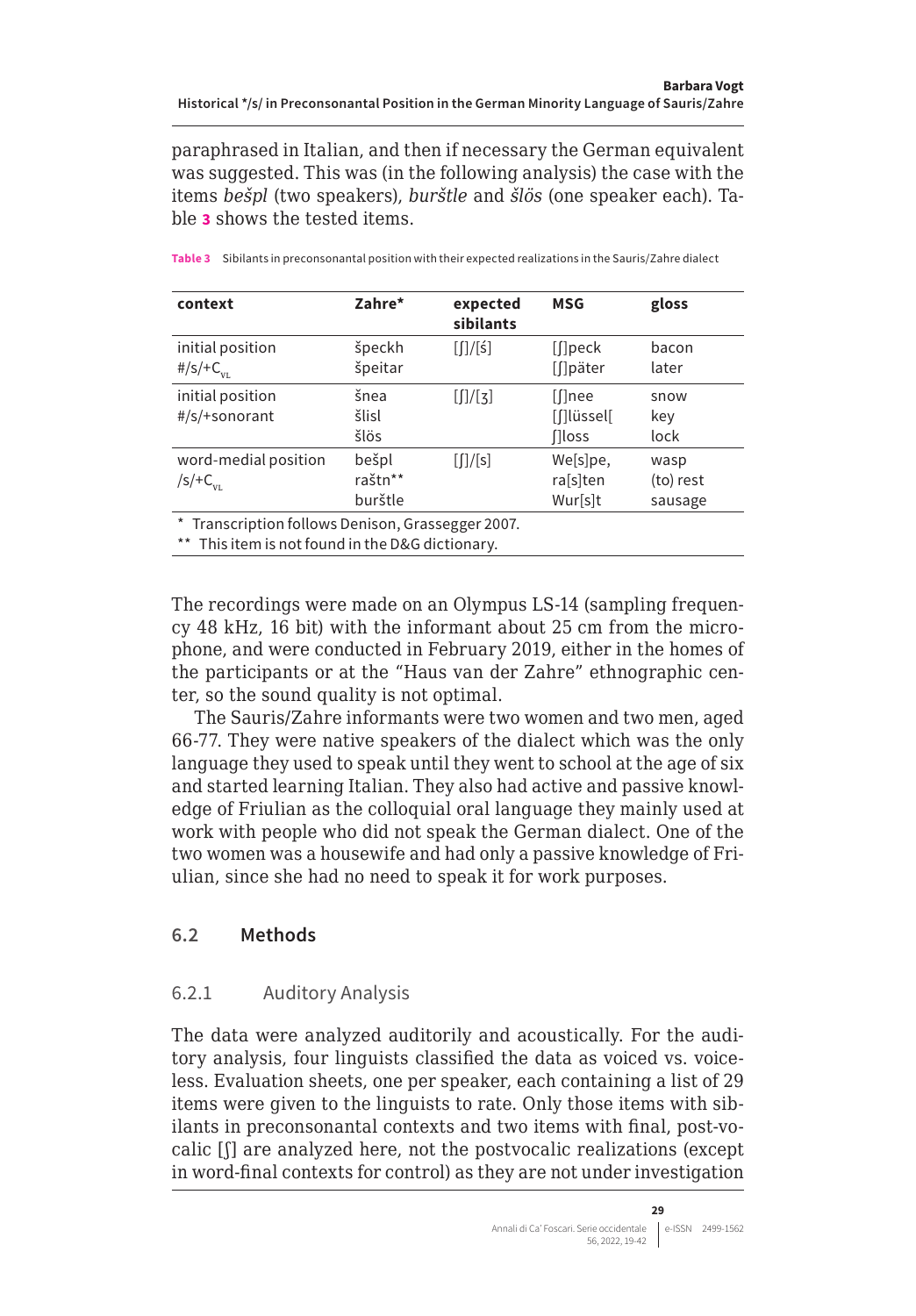<span id="page-10-0"></span>paraphrased in Italian, and then if necessary the German equivalent was suggested. This was (in the following analysis) the case with the items *bešpl* (two speakers), *burštle* and *šlös* (one speaker each). Table **3** shows the tested items.

| context                                                   | Zahre*                      | expected<br>sibilants | <b>MSG</b>                          | gloss                        |
|-----------------------------------------------------------|-----------------------------|-----------------------|-------------------------------------|------------------------------|
| initial position<br>#/s/+ $C_{_{VL}}$                     | špeckh<br>špeitar           | [ ] / [5]             | [[]peck<br>[[]päter                 | bacon<br>later               |
| initial position<br>#/s/+sonorant                         | šnea<br>šlisl<br>šlös       | [[]/[3]               | [[]nee<br>[[lüssel]<br><b>Iloss</b> | snow<br>key<br>lock          |
| word-medial position<br>$\sqrt{\frac{S}{T}}C_{\text{VI}}$ | bešpl<br>raštn**<br>burštle | [[]/[s]               | We[s]pe,<br>ra[s]ten<br>Wur[s]t     | wasp<br>(to) rest<br>sausage |

**Table 3** Sibilants in preconsonantal position with their expected realizations in the Sauris/Zahre dialect

\* Transcription follows Denison, Grassegger 2007.

\*\* This item is not found in the D&G dictionary.

The recordings were made on an Olympus LS-14 (sampling frequency 48 kHz, 16 bit) with the informant about 25 cm from the microphone, and were conducted in February 2019, either in the homes of the participants or at the "Haus van der Zahre" ethnographic center, so the sound quality is not optimal.

The Sauris/Zahre informants were two women and two men, aged 66-77. They were native speakers of the dialect which was the only language they used to speak until they went to school at the age of six and started learning Italian. They also had active and passive knowledge of Friulian as the colloquial oral language they mainly used at work with people who did not speak the German dialect. One of the two women was a housewife and had only a passive knowledge of Friulian, since she had no need to speak it for work purposes.

#### **6.2 Methods**

#### 6.2.1 Auditory Analysis

The data were analyzed auditorily and acoustically. For the auditory analysis, four linguists classified the data as voiced vs. voiceless. Evaluation sheets, one per speaker, each containing a list of 29 items were given to the linguists to rate. Only those items with sibilants in preconsonantal contexts and two items with final, post-vocalic [ʃ] are analyzed here, not the postvocalic realizations (except in word-final contexts for control) as they are not under investigation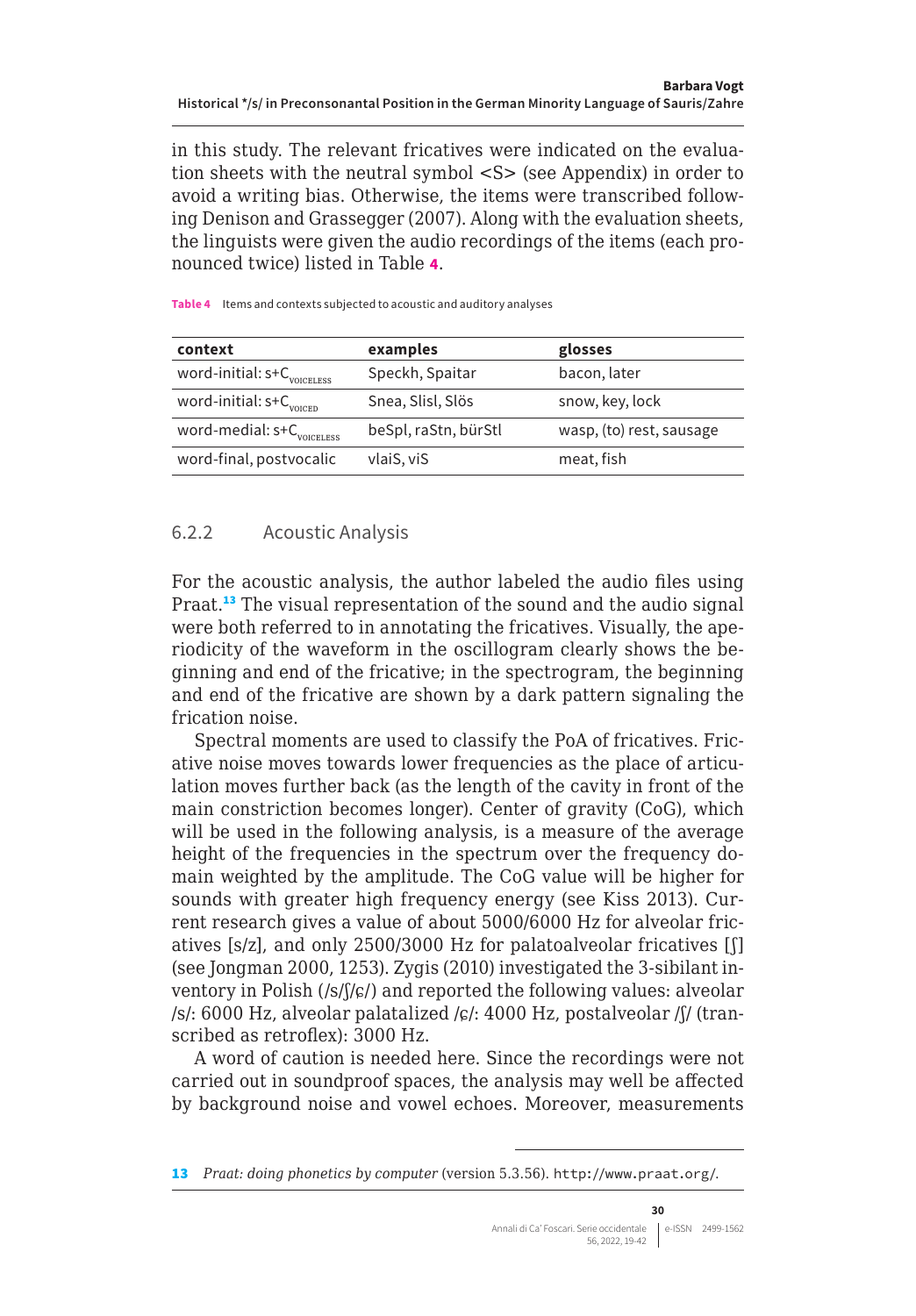in this study. The relevant fricatives were indicated on the evaluation sheets with the neutral symbol <S> (see Appendix) in order to avoid a writing bias. Otherwise, the items were transcribed following Denison and Grassegger (2007). Along with the evaluation sheets, the linguists were given the audio recordings of the items (each pronounced twice) listed in Table **4**.

| context                                  | examples             | glosses                  |
|------------------------------------------|----------------------|--------------------------|
| word-initial: $s+C$ <sub>voiceLess</sub> | Speckh, Spaitar      | bacon, later             |
| word-initial: $s+C$ <sub>voicep</sub>    | Snea, Slisl, Slös    | snow, key, lock          |
| word-medial: $s+C$ <sub>voiceLess</sub>  | beSpl, raStn, bürStl | wasp, (to) rest, sausage |
| word-final, postvocalic                  | vlaiS, viS           | meat, fish               |

**Table 4** Items and contexts subjected to acoustic and auditory analyses

#### 6.2.2 Acoustic Analysis

For the acoustic analysis, the author labeled the audio files using Praat.<sup>13</sup> The visual representation of the sound and the audio signal were both referred to in annotating the fricatives. Visually, the aperiodicity of the waveform in the oscillogram clearly shows the beginning and end of the fricative; in the spectrogram, the beginning and end of the fricative are shown by a dark pattern signaling the frication noise.

Spectral moments are used to classify the PoA of fricatives. Fricative noise moves towards lower frequencies as the place of articulation moves further back (as the length of the cavity in front of the main constriction becomes longer). Center of gravity (CoG), which will be used in the following analysis, is a measure of the average height of the frequencies in the spectrum over the frequency domain weighted by the amplitude. The CoG value will be higher for sounds with greater high frequency energy (see Kiss 2013). Current research gives a value of about 5000/6000 Hz for alveolar fricatives [s/z], and only 2500/3000 Hz for palatoalveolar fricatives [ʃ] (see Jongman 2000, 1253). Zygis (2010) investigated the 3-sibilant inventory in Polish  $(\sqrt{s}/\sqrt{s})$  and reported the following values: alveolar  $\frac{s}{r}$ : 6000 Hz, alveolar palatalized  $\frac{s}{r}$ : 4000 Hz, postalveolar  $\frac{s}{r}$  (transcribed as retroflex): 3000 Hz.

A word of caution is needed here. Since the recordings were not carried out in soundproof spaces, the analysis may well be affected by background noise and vowel echoes. Moreover, measurements

<sup>13</sup> *Praat: doing phonetics by computer* (version 5.3.56). <http://www.praat.org/>.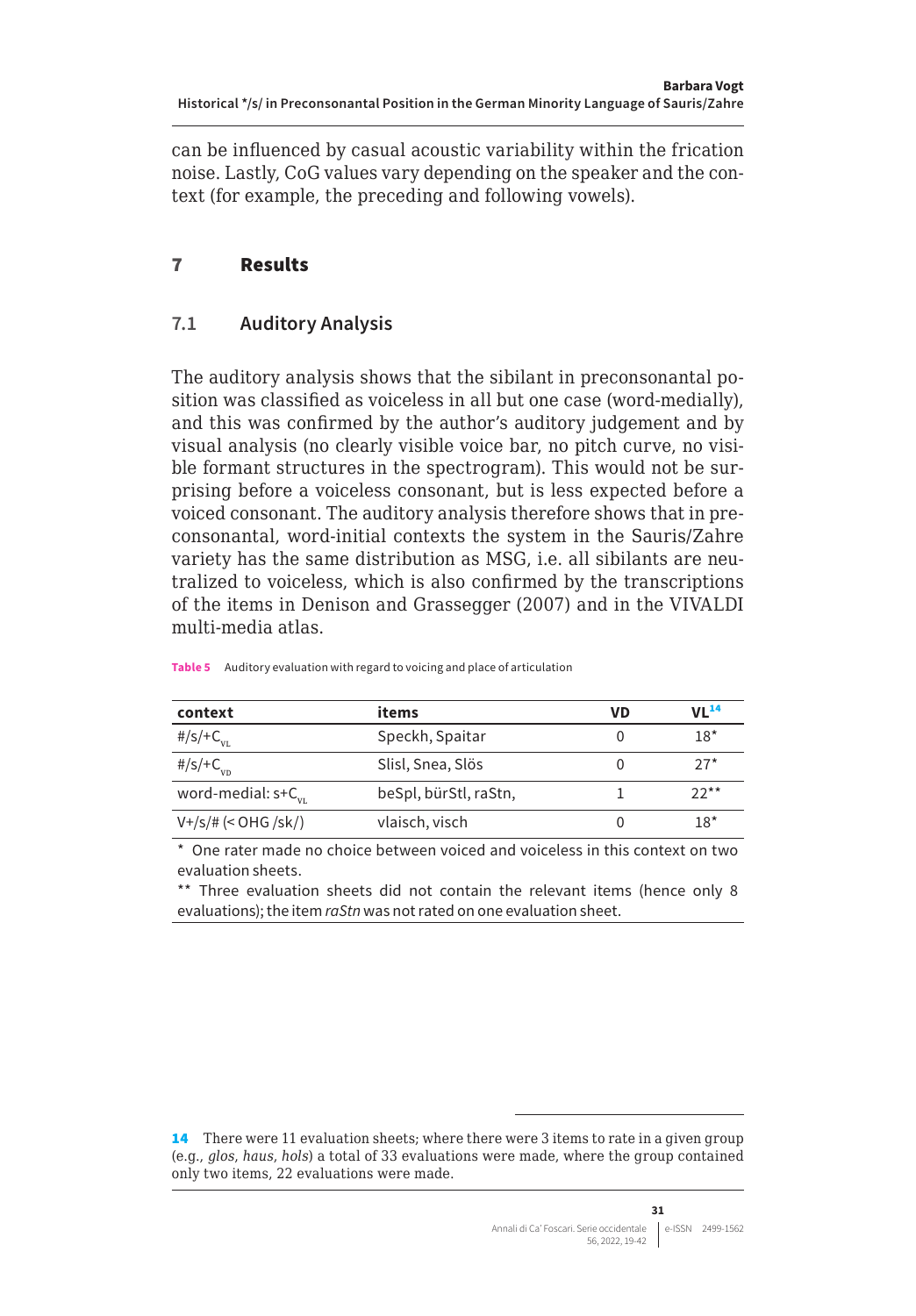<span id="page-12-0"></span>can be influenced by casual acoustic variability within the frication noise. Lastly, CoG values vary depending on the speaker and the context (for example, the preceding and following vowels).

#### 7 Results

#### **7.1 Auditory Analysis**

The auditory analysis shows that the sibilant in preconsonantal position was classified as voiceless in all but one case (word-medially), and this was confirmed by the author's auditory judgement and by visual analysis (no clearly visible voice bar, no pitch curve, no visible formant structures in the spectrogram). This would not be surprising before a voiceless consonant, but is less expected before a voiced consonant. The auditory analysis therefore shows that in preconsonantal, word-initial contexts the system in the Sauris/Zahre variety has the same distribution as MSG, i.e. all sibilants are neutralized to voiceless, which is also confirmed by the transcriptions of the items in Denison and Grassegger (2007) and in the VIVALDI multi-media atlas.

| context                           | items                 | VD | VL <sup>14</sup> |
|-----------------------------------|-----------------------|----|------------------|
| #/s/+ $C_{_{VL}}$                 | Speckh, Spaitar       | 0  | $18*$            |
| #/s/+ $C_{\rm vn}$                | Slisl, Snea, Slös     | O  | $27*$            |
| word-medial: $s+C$ <sub>vi.</sub> | beSpl, bürStl, raStn, |    | $22**$           |
| $V + /s$ /# (< OHG /sk/)          | vlaisch, visch        | 0  | $18*$            |

**Table 5** Auditory evaluation with regard to voicing and place of articulation

One rater made no choice between voiced and voiceless in this context on two evaluation sheets.

\*\* Three evaluation sheets did not contain the relevant items (hence only 8 evaluations); the item *raStn* was not rated on one evaluation sheet.

<sup>14</sup> There were 11 evaluation sheets; where there were 3 items to rate in a given group (e.g., *glos*, *haus*, *hols*) a total of 33 evaluations were made, where the group contained only two items, 22 evaluations were made.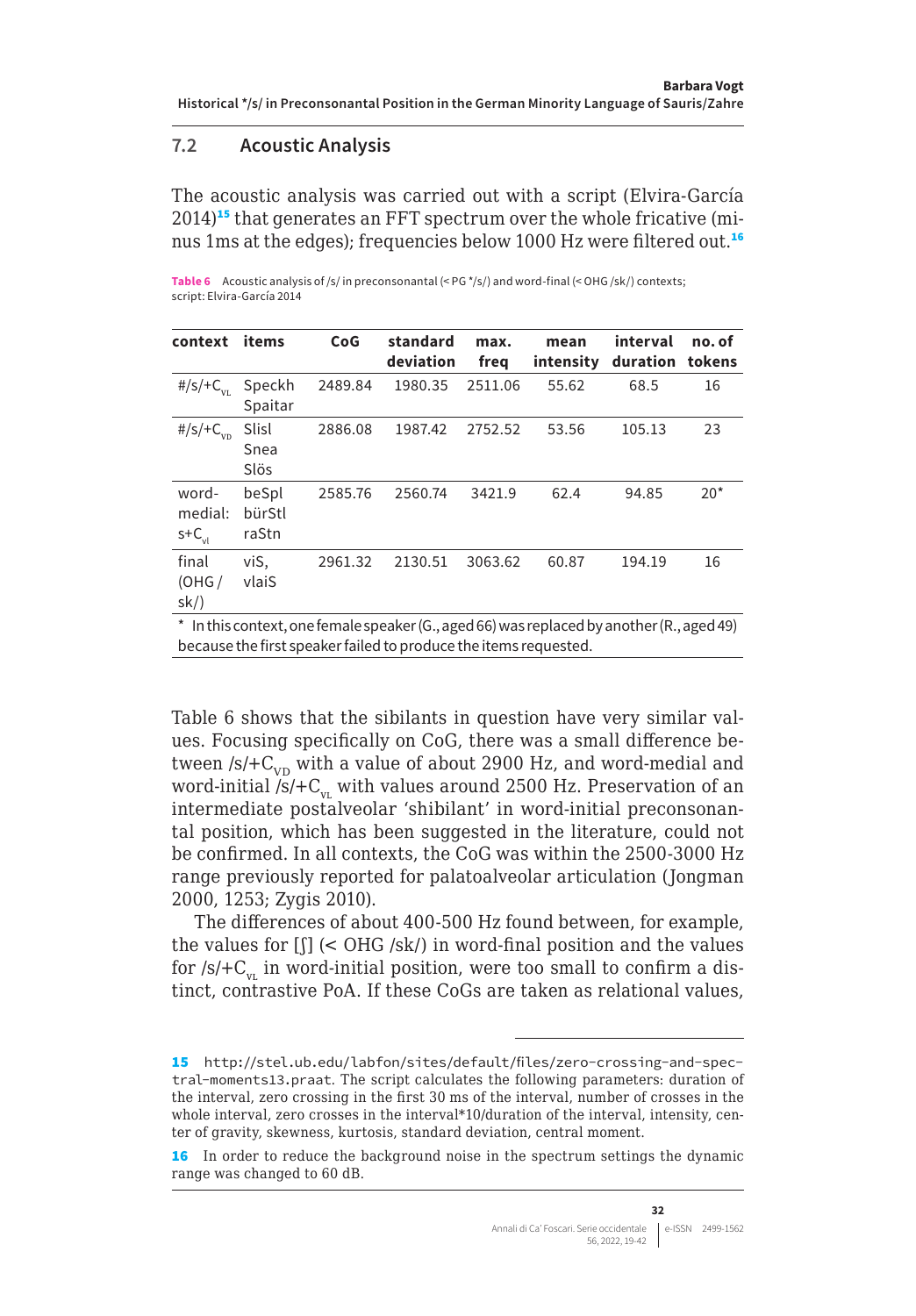#### <span id="page-13-0"></span>**7.2 Acoustic Analysis**

The acoustic analysis was carried out with a script (Elvira-García  $2014$ <sup>15</sup> that generates an FFT spectrum over the whole fricative (minus 1ms at the edges); frequencies below 1000 Hz were filtered out.<sup>16</sup>

Table 6 Acoustic analysis of /s/ in preconsonantal (< PG \*/s/) and word-final (< OHG /sk/) contexts; script: Elvira-García 2014

| context                             | items                    | CoG     | standard<br>deviation                                                                                      | max.<br>freq | mean<br>intensity | interval<br>duration | no. of<br>tokens |
|-------------------------------------|--------------------------|---------|------------------------------------------------------------------------------------------------------------|--------------|-------------------|----------------------|------------------|
| #/s/+ $C_{\rm VI}$                  | Speckh<br>Spaitar        | 2489.84 | 1980.35                                                                                                    | 2511.06      | 55.62             | 68.5                 | 16               |
| #/s/+ $C_{vn}$                      | Slisl<br>Snea<br>Slös    | 2886.08 | 1987.42                                                                                                    | 2752.52      | 53.56             | 105.13               | 23               |
| word-<br>medial:<br>$s+C_{\rm vir}$ | beSpl<br>bürStl<br>raStn | 2585.76 | 2560.74                                                                                                    | 3421.9       | 62.4              | 94.85                | $20*$            |
| final<br>(OHG /<br>sk/              | viS,<br>vlaiS            | 2961.32 | 2130.51                                                                                                    | 3063.62      | 60.87             | 194.19               | 16               |
|                                     |                          |         | * In this context one female speaker $(G, \text{ and } GB)$ was replaced by another $(P, \text{ and } AB)$ |              |                   |                      |                  |

1is context, one female speaker (G., aged 66) was replaced by another (R., aged 49) because the first speaker failed to produce the items requested.

Table 6 shows that the sibilants in question have very similar values. Focusing specifically on CoG, there was a small difference between  $/s/$ + $C_{V_D}$  with a value of about 2900 Hz, and word-medial and word-initial  $/s/$ +C<sub>vv</sub> with values around 2500 Hz. Preservation of an intermediate postalveolar 'shibilant' in word-initial preconsonantal position, which has been suggested in the literature, could not be confirmed. In all contexts, the CoG was within the 2500-3000 Hz range previously reported for palatoalveolar articulation (Jongman 2000, 1253; Zygis 2010).

The differences of about 400-500 Hz found between, for example, the values for  $\left[\right]$  (< OHG /sk/) in word-final position and the values for  $/s/+C_w$  in word-initial position, were too small to confirm a distinct, contrastive PoA. If these CoGs are taken as relational values,

<sup>15</sup> [http://stel.ub.edu/labfon/sites/default/files/zero-crossing-and-spec](http://stel.ub.edu/labfon/sites/default/files/zero-crossing-and-spectral-moments13.praat)[tral-moments13.praat](http://stel.ub.edu/labfon/sites/default/files/zero-crossing-and-spectral-moments13.praat). The script calculates the following parameters: duration of the interval, zero crossing in the first 30 ms of the interval, number of crosses in the whole interval, zero crosses in the interval\*10/duration of the interval, intensity, center of gravity, skewness, kurtosis, standard deviation, central moment.

<sup>16</sup> In order to reduce the background noise in the spectrum settings the dynamic range was changed to 60 dB.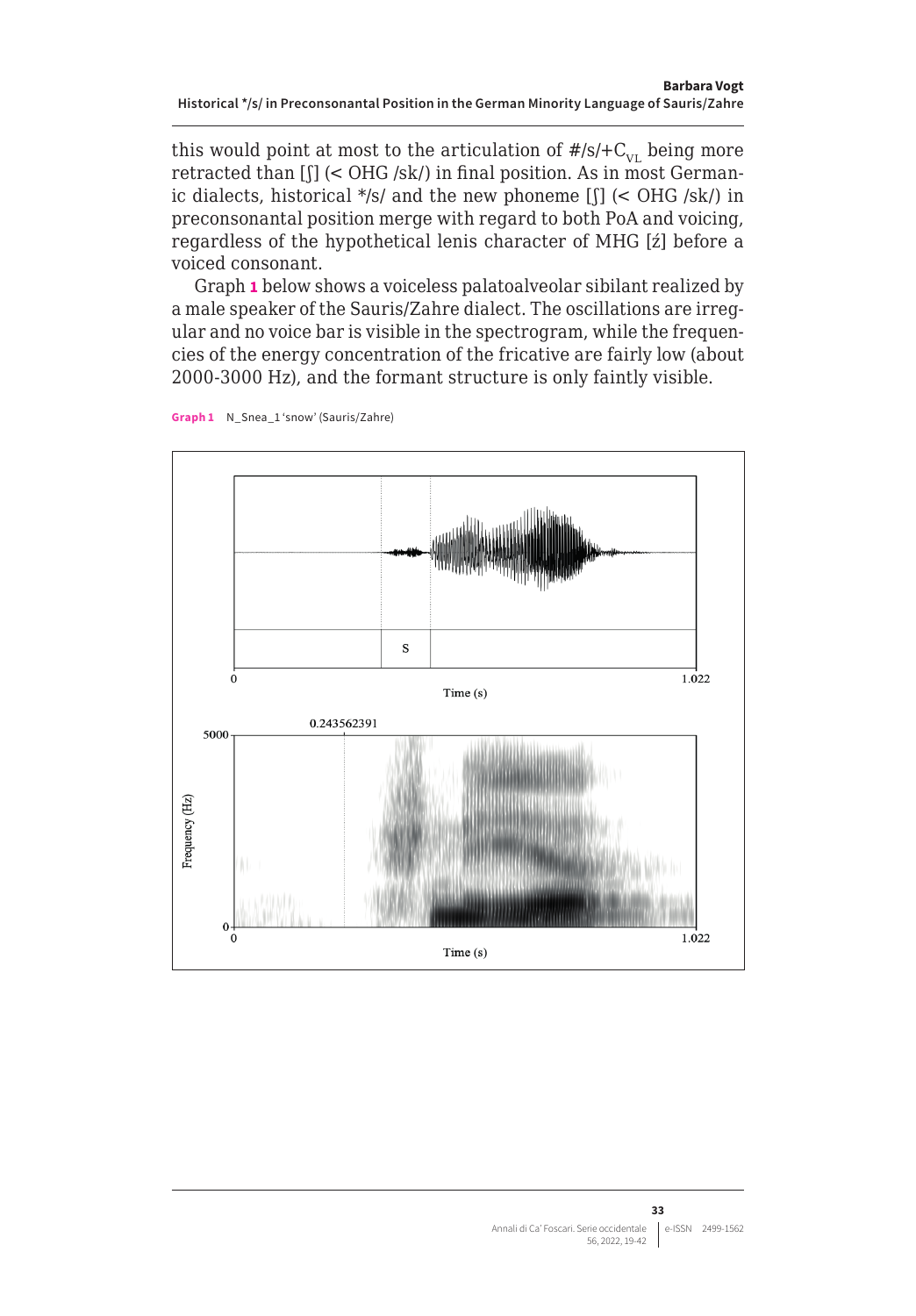this would point at most to the articulation of  $\#/S+C_{\text{VL}}$  being more retracted than [ʃ] (< OHG /sk/) in final position. As in most Germanic dialects, historical \*/s/ and the new phoneme [ʃ] (< OHG /sk/) in preconsonantal position merge with regard to both PoA and voicing, regardless of the hypothetical lenis character of MHG [ź] before a voiced consonant.

Graph **1** below shows a voiceless palatoalveolar sibilant realized by a male speaker of the Sauris/Zahre dialect. The oscillations are irregular and no voice bar is visible in the spectrogram, while the frequencies of the energy concentration of the fricative are fairly low (about 2000-3000 Hz), and the formant structure is only faintly visible.



**Graph 1** N\_Snea\_1 'snow' (Sauris/Zahre)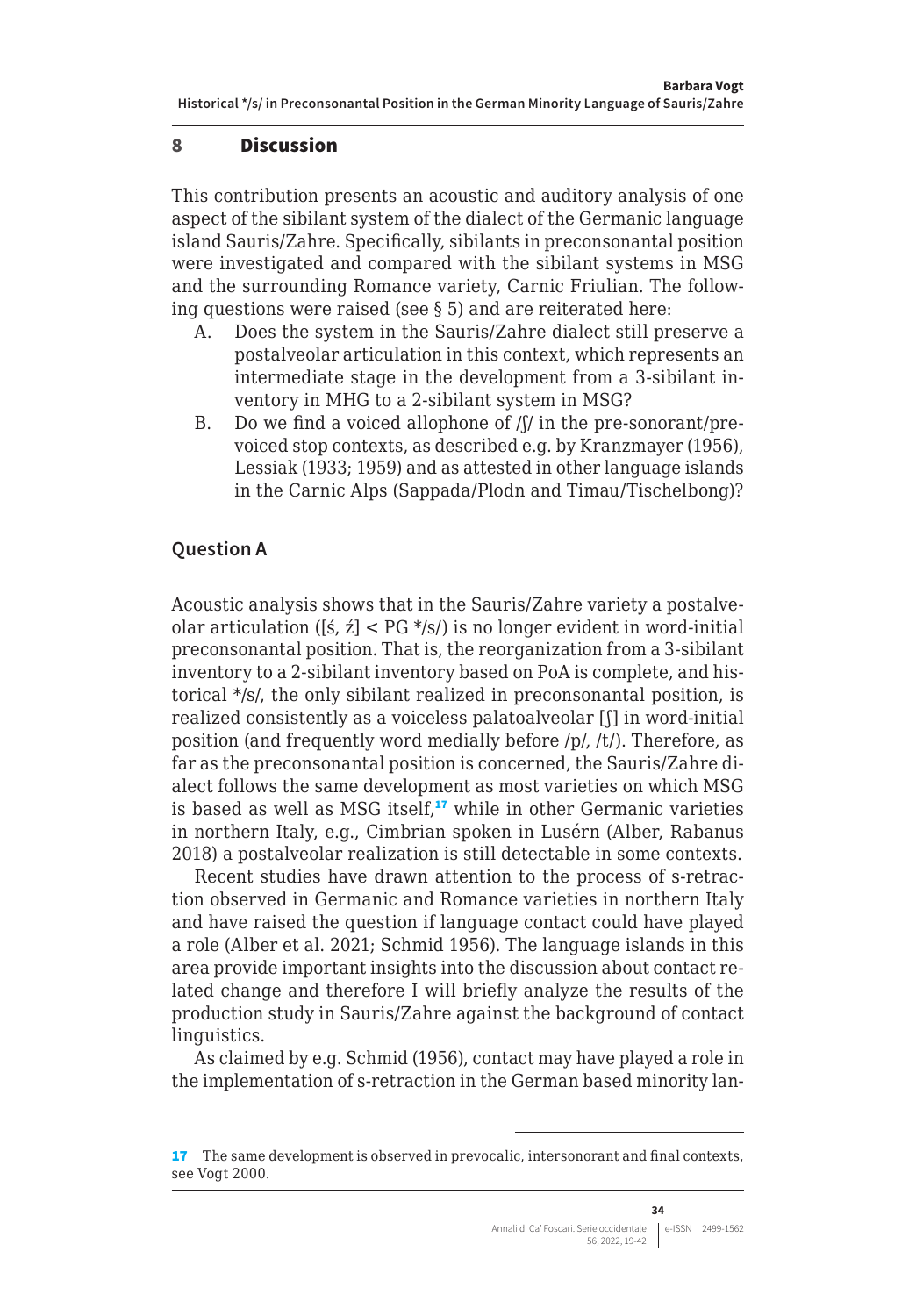#### <span id="page-15-0"></span>8 Discussion

This contribution presents an acoustic and auditory analysis of one aspect of the sibilant system of the dialect of the Germanic language island Sauris/Zahre. Specifically, sibilants in preconsonantal position were investigated and compared with the sibilant systems in MSG and the surrounding Romance variety, Carnic Friulian. The following questions were raised (see § 5) and are reiterated here:

- A. Does the system in the Sauris/Zahre dialect still preserve a postalveolar articulation in this context, which represents an intermediate stage in the development from a 3-sibilant inventory in MHG to a 2-sibilant system in MSG?
- B. Do we find a voiced allophone of  $/$ [ $/$  in the pre-sonorant/prevoiced stop contexts, as described e.g. by Kranzmayer (1956), Lessiak (1933; 1959) and as attested in other language islands in the Carnic Alps (Sappada/Plodn and Timau/Tischelbong)?

#### **Question A**

Acoustic analysis shows that in the Sauris/Zahre variety a postalveolar articulation ( $[\pm, \pm] <$  PG  $*\!/s$ ) is no longer evident in word-initial preconsonantal position. That is, the reorganization from a 3-sibilant inventory to a 2-sibilant inventory based on PoA is complete, and historical \*/s/, the only sibilant realized in preconsonantal position, is realized consistently as a voiceless palatoalveolar [ʃ] in word-initial position (and frequently word medially before /p/, /t/). Therefore, as far as the preconsonantal position is concerned, the Sauris/Zahre dialect follows the same development as most varieties on which MSG is based as well as MSG itself, $17$  while in other Germanic varieties in northern Italy, e.g., Cimbrian spoken in Lusérn (Alber, Rabanus 2018) a postalveolar realization is still detectable in some contexts.

Recent studies have drawn attention to the process of s-retraction observed in Germanic and Romance varieties in northern Italy and have raised the question if language contact could have played a role (Alber et al. 2021; Schmid 1956). The language islands in this area provide important insights into the discussion about contact related change and therefore I will briefly analyze the results of the production study in Sauris/Zahre against the background of contact linguistics.

As claimed by e.g. Schmid (1956), contact may have played a role in the implementation of s-retraction in the German based minority lan-

<sup>17</sup> The same development is observed in prevocalic, intersonorant and final contexts, see Vogt 2000.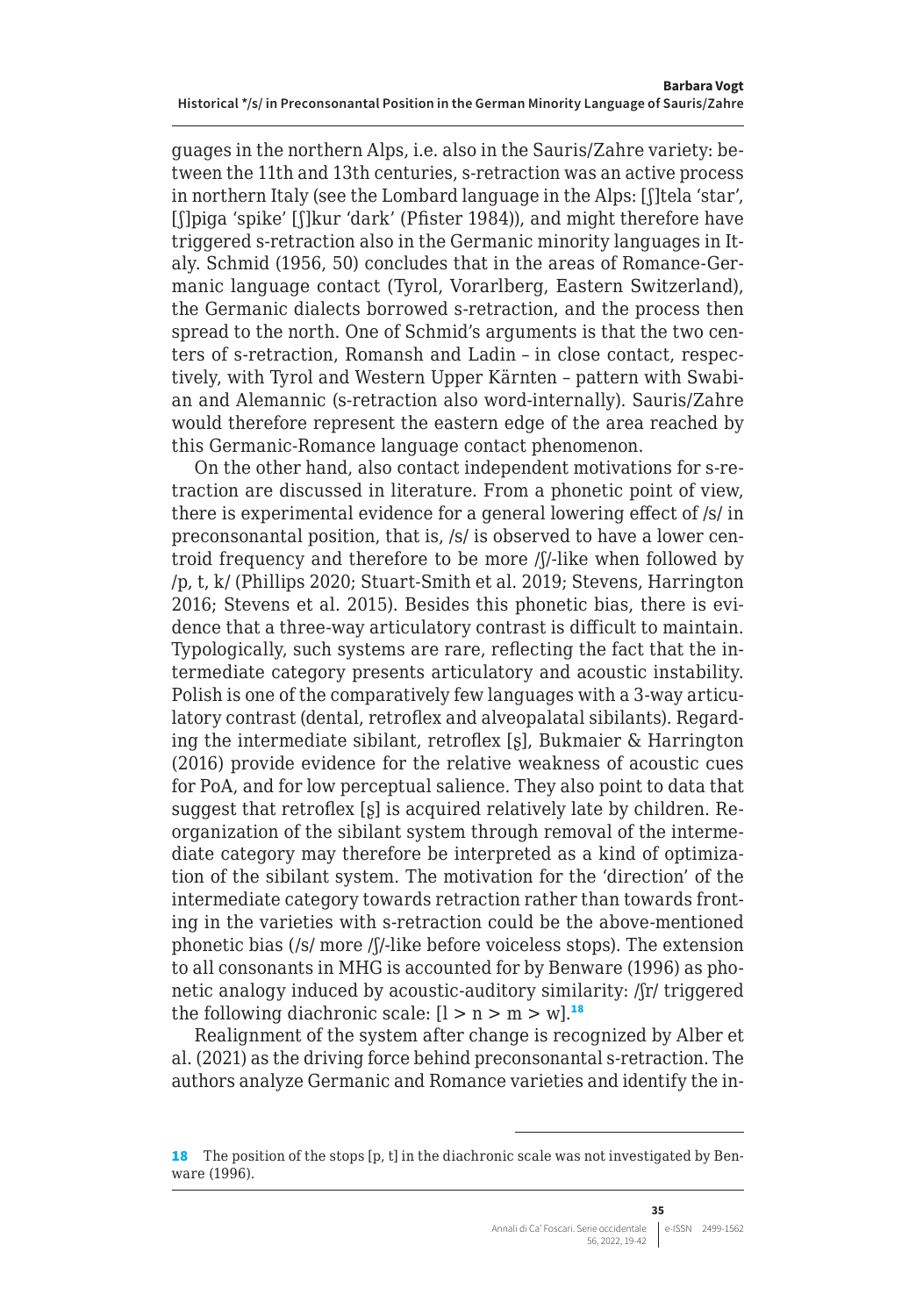guages in the northern Alps, i.e. also in the Sauris/Zahre variety: between the 11th and 13th centuries, s-retraction was an active process in northern Italy (see the Lombard language in the Alps: [ʃ]tela 'star', [ʃ]piga 'spike' [ʃ]kur 'dark' (Pfister 1984)), and might therefore have triggered s-retraction also in the Germanic minority languages in Italy. Schmid (1956, 50) concludes that in the areas of Romance-Germanic language contact (Tyrol, Vorarlberg, Eastern Switzerland), the Germanic dialects borrowed s-retraction, and the process then spread to the north. One of Schmid's arguments is that the two centers of s-retraction, Romansh and Ladin – in close contact, respectively, with Tyrol and Western Upper Kärnten – pattern with Swabian and Alemannic (s-retraction also word-internally). Sauris/Zahre would therefore represent the eastern edge of the area reached by this Germanic-Romance language contact phenomenon.

On the other hand, also contact independent motivations for s-retraction are discussed in literature. From a phonetic point of view, there is experimental evidence for a general lowering effect of /s/ in preconsonantal position, that is, /s/ is observed to have a lower centroid frequency and therefore to be more /ʃ/-like when followed by /p, t, k/ (Phillips 2020; Stuart-Smith et al. 2019; Stevens, Harrington 2016; Stevens et al. 2015). Besides this phonetic bias, there is evidence that a three-way articulatory contrast is difficult to maintain. Typologically, such systems are rare, reflecting the fact that the intermediate category presents articulatory and acoustic instability. Polish is one of the comparatively few languages with a 3-way articulatory contrast (dental, retroflex and alveopalatal sibilants). Regarding the intermediate sibilant, retroflex [ʂ], Bukmaier & Harrington (2016) provide evidence for the relative weakness of acoustic cues for PoA, and for low perceptual salience. They also point to data that suggest that retroflex [ʂ] is acquired relatively late by children. Reorganization of the sibilant system through removal of the intermediate category may therefore be interpreted as a kind of optimization of the sibilant system. The motivation for the 'direction' of the intermediate category towards retraction rather than towards fronting in the varieties with s-retraction could be the above-mentioned phonetic bias (/s/ more /ʃ/-like before voiceless stops). The extension to all consonants in MHG is accounted for by Benware (1996) as phonetic analogy induced by acoustic-auditory similarity: /ʃr/ triggered the following diachronic scale:  $[1 > n > m > w]$ <sup>18</sup>

Realignment of the system after change is recognized by Alber et al. (2021) as the driving force behind preconsonantal s-retraction. The authors analyze Germanic and Romance varieties and identify the in-

<sup>18</sup> The position of the stops [p, t] in the diachronic scale was not investigated by Benware (1996).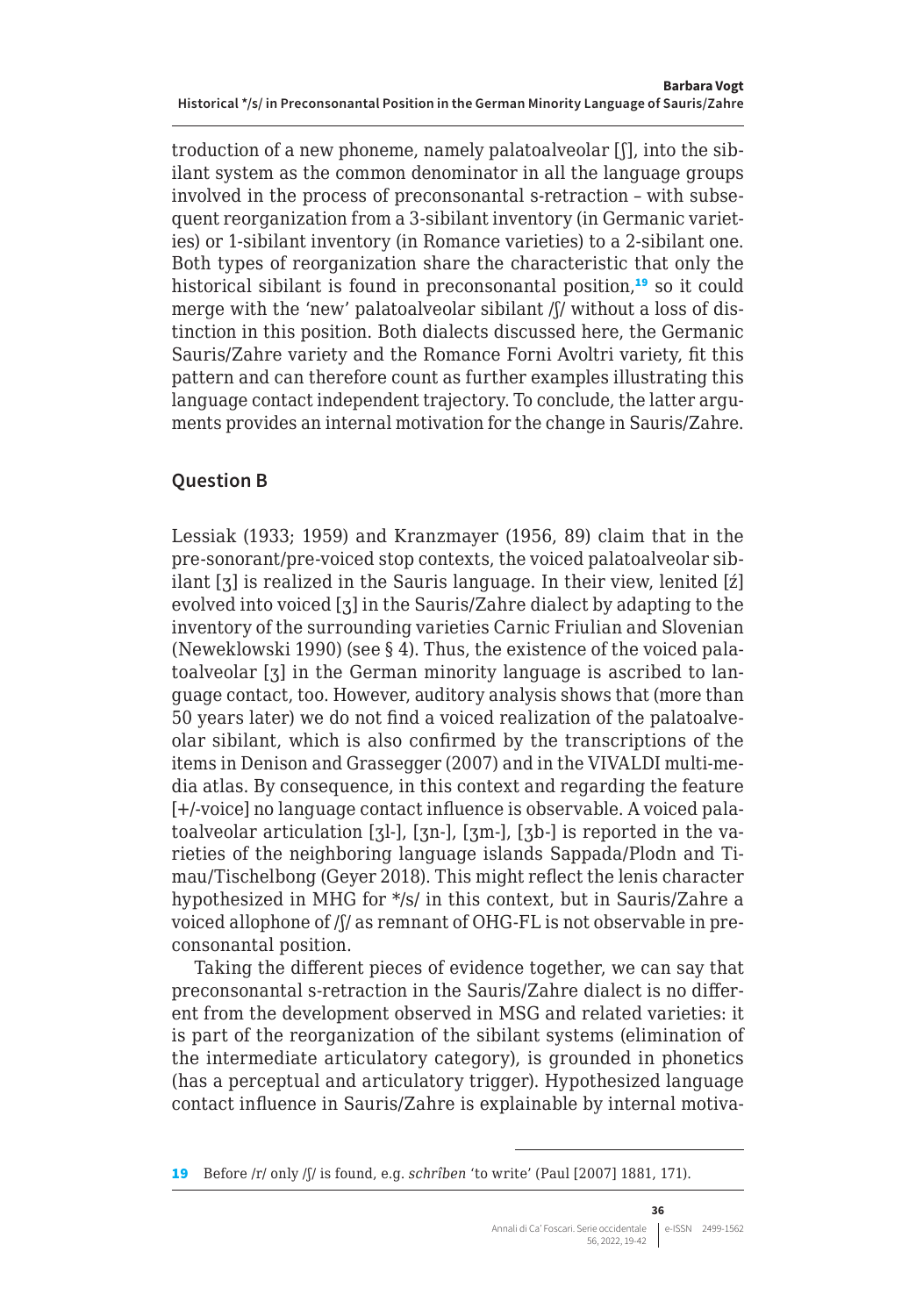troduction of a new phoneme, namely palatoalveolar [ʃ], into the sibilant system as the common denominator in all the language groups involved in the process of preconsonantal s-retraction – with subsequent reorganization from a 3-sibilant inventory (in Germanic varieties) or 1-sibilant inventory (in Romance varieties) to a 2-sibilant one. Both types of reorganization share the characteristic that only the historical sibilant is found in preconsonantal position, $19$  so it could merge with the 'new' palatoalveolar sibilant /ʃ/ without a loss of distinction in this position. Both dialects discussed here, the Germanic Sauris/Zahre variety and the Romance Forni Avoltri variety, fit this pattern and can therefore count as further examples illustrating this language contact independent trajectory. To conclude, the latter arguments provides an internal motivation for the change in Sauris/Zahre.

#### **Question B**

Lessiak (1933; 1959) and Kranzmayer (1956, 89) claim that in the pre-sonorant/pre-voiced stop contexts, the voiced palatoalveolar sibilant [ʒ] is realized in the Sauris language. In their view, lenited [ź] evolved into voiced [ʒ] in the Sauris/Zahre dialect by adapting to the inventory of the surrounding varieties Carnic Friulian and Slovenian (Neweklowski 1990) (see § 4). Thus, the existence of the voiced palatoalveolar [ʒ] in the German minority language is ascribed to language contact, too. However, auditory analysis shows that (more than 50 years later) we do not find a voiced realization of the palatoalveolar sibilant, which is also confirmed by the transcriptions of the items in Denison and Grassegger (2007) and in the VIVALDI multi-media atlas. By consequence, in this context and regarding the feature [+/-voice] no language contact influence is observable. A voiced palatoalveolar articulation [ʒl-], [ʒn-], [ʒm-], [ʒb-] is reported in the varieties of the neighboring language islands Sappada/Plodn and Timau/Tischelbong (Geyer 2018). This might reflect the lenis character hypothesized in MHG for \*/s/ in this context, but in Sauris/Zahre a voiced allophone of /ʃ/ as remnant of OHG-FL is not observable in preconsonantal position.

Taking the different pieces of evidence together, we can say that preconsonantal s-retraction in the Sauris/Zahre dialect is no different from the development observed in MSG and related varieties: it is part of the reorganization of the sibilant systems (elimination of the intermediate articulatory category), is grounded in phonetics (has a perceptual and articulatory trigger). Hypothesized language contact influence in Sauris/Zahre is explainable by internal motiva-

<sup>19</sup> Before /r/ only /ʃ/ is found, e.g. *schrîben* 'to write' (Paul [2007] 1881, 171).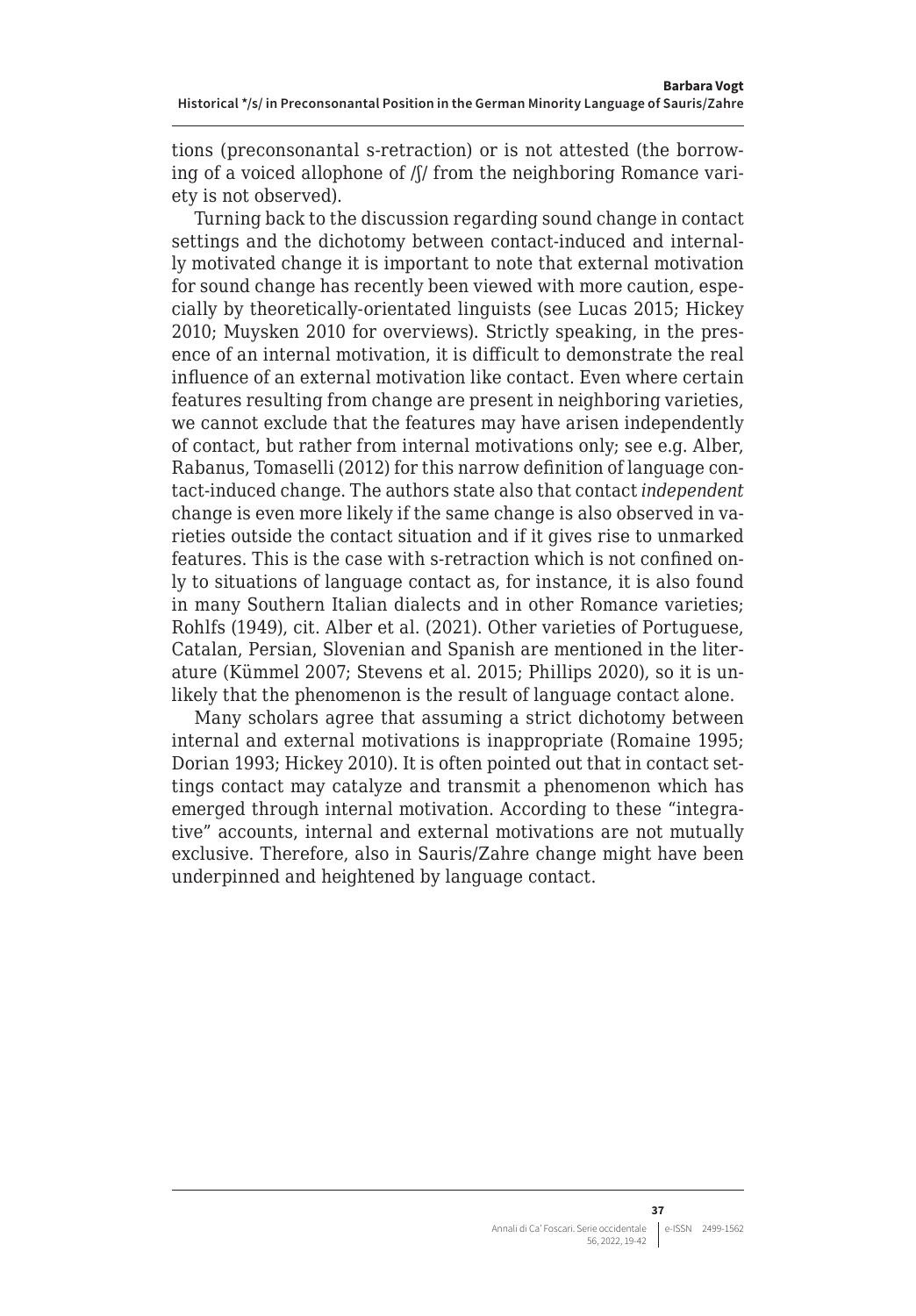tions (preconsonantal s-retraction) or is not attested (the borrowing of a voiced allophone of /ʃ/ from the neighboring Romance variety is not observed).

Turning back to the discussion regarding sound change in contact settings and the dichotomy between contact-induced and internally motivated change it is important to note that external motivation for sound change has recently been viewed with more caution, especially by theoretically-orientated linguists (see Lucas 2015; Hickey 2010; Muysken 2010 for overviews). Strictly speaking, in the presence of an internal motivation, it is difficult to demonstrate the real influence of an external motivation like contact. Even where certain features resulting from change are present in neighboring varieties, we cannot exclude that the features may have arisen independently of contact, but rather from internal motivations only; see e.g. Alber, Rabanus, Tomaselli (2012) for this narrow definition of language contact-induced change. The authors state also that contact *independent* change is even more likely if the same change is also observed in varieties outside the contact situation and if it gives rise to unmarked features. This is the case with s-retraction which is not confined only to situations of language contact as, for instance, it is also found in many Southern Italian dialects and in other Romance varieties; Rohlfs (1949), cit. Alber et al. (2021). Other varieties of Portuguese, Catalan, Persian, Slovenian and Spanish are mentioned in the literature (Kümmel 2007; Stevens et al. 2015; Phillips 2020), so it is unlikely that the phenomenon is the result of language contact alone.

Many scholars agree that assuming a strict dichotomy between internal and external motivations is inappropriate (Romaine 1995; Dorian 1993; Hickey 2010). It is often pointed out that in contact settings contact may catalyze and transmit a phenomenon which has emerged through internal motivation. According to these "integrative" accounts, internal and external motivations are not mutually exclusive. Therefore, also in Sauris/Zahre change might have been underpinned and heightened by language contact.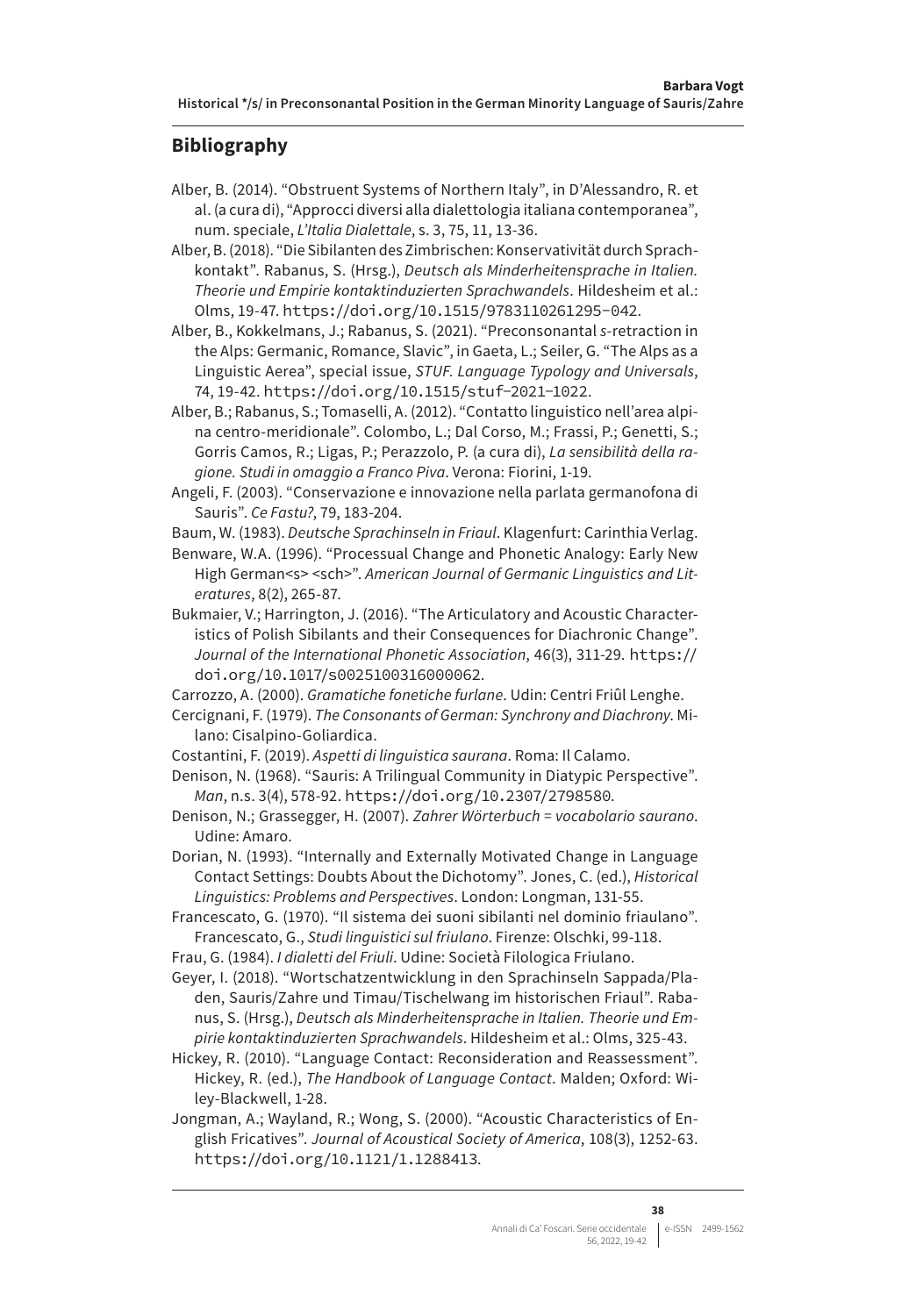#### **Bibliography**

- Alber, B. (2014). "Obstruent Systems of Northern Italy", in D'Alessandro, R. et al. (a cura di), "Approcci diversi alla dialettologia italiana contemporanea", num. speciale, *L'Italia Dialettale*, s. 3, 75, 11, 13-36.
- Alber, B. (2018). "Die Sibilanten des Zimbrischen: Konservativität durch Sprachkontakt". Rabanus, S. (Hrsg.), *Deutsch als Minderheitensprache in Italien. Theorie und Empirie kontaktinduzierten Sprachwandels*. Hildesheim et al.: Olms, 19-47. <https://doi.org/10.1515/9783110261295-042>.
- Alber, B., Kokkelmans, J.; Rabanus, S. (2021). "Preconsonantal *s*-retraction in the Alps: Germanic, Romance, Slavic", in Gaeta, L.; Seiler, G. "The Alps as a Linguistic Aerea", special issue, *STUF. Language Typology and Universals*, 74, 19-42. <https://doi.org/10.1515/stuf-2021-1022>.
- Alber, B.; Rabanus, S.; Tomaselli, A. (2012). "Contatto linguistico nell'area alpina centro-meridionale". Colombo, L.; Dal Corso, M.; Frassi, P.; Genetti, S.; Gorris Camos, R.; Ligas, P.; Perazzolo, P. (a cura di), *La sensibilità della ragione. Studi in omaggio a Franco Piva*. Verona: Fiorini, 1-19.
- Angeli, F. (2003). "Conservazione e innovazione nella parlata germanofona di Sauris". *Ce Fastu?*, 79, 183-204.
- Baum, W. (1983). *Deutsche Sprachinseln in Friaul*. Klagenfurt: Carinthia Verlag.
- Benware, W.A. (1996). "Processual Change and Phonetic Analogy: Early New High German<s> <sch>". *American Journal of Germanic Linguistics and Literatures*, 8(2), 265-87.
- Bukmaier, V.; Harrington, J. (2016). "The Articulatory and Acoustic Characteristics of Polish Sibilants and their Consequences for Diachronic Change". *Journal of the International Phonetic Association*, 46(3), 311-29. [https://](https://doi.org/10.1017/s0025100316000062) [doi.org/10.1017/s0025100316000062](https://doi.org/10.1017/s0025100316000062).
- Carrozzo, A. (2000). *Gramatiche fonetiche furlane*. Udin: Centri Friûl Lenghe.
- Cercignani, F. (1979). *The Consonants of German: Synchrony and Diachrony*. Milano: Cisalpino-Goliardica.
- Costantini, F. (2019). *Aspetti di linguistica saurana*. Roma: Il Calamo.
- Denison, N. (1968). "Sauris: A Trilingual Community in Diatypic Perspective". *Man*, n.s. 3(4), 578-92. <https://doi.org/10.2307/2798580>.
- Denison, N.; Grassegger, H. (2007). *Zahrer Wörterbuch = vocabolario saurano*. Udine: Amaro.
- Dorian, N. (1993). "Internally and Externally Motivated Change in Language Contact Settings: Doubts About the Dichotomy". Jones, C. (ed.), *Historical Linguistics: Problems and Perspectives*. London: Longman, 131-55.

Francescato, G. (1970). "Il sistema dei suoni sibilanti nel dominio friaulano". Francescato, G., *Studi linguistici sul friulano*. Firenze: Olschki, 99-118.

- Frau, G. (1984). *I dialetti del Friuli*. Udine: Società Filologica Friulano.
- Geyer, I. (2018). "Wortschatzentwicklung in den Sprachinseln Sappada/Pladen, Sauris/Zahre und Timau/Tischelwang im historischen Friaul". Rabanus, S. (Hrsg.), *Deutsch als Minderheitensprache in Italien. Theorie und Empirie kontaktinduzierten Sprachwandels*. Hildesheim et al.: Olms, 325-43.
- Hickey, R. (2010). "Language Contact: Reconsideration and Reassessment". Hickey, R. (ed.), *The Handbook of Language Contact*. Malden; Oxford: Wiley-Blackwell, 1-28.
- Jongman, A.; Wayland, R.; Wong, S. (2000). "Acoustic Characteristics of English Fricatives". *Journal of Acoustical Society of America*, 108(3), 1252-63. <https://doi.org/10.1121/1.1288413>.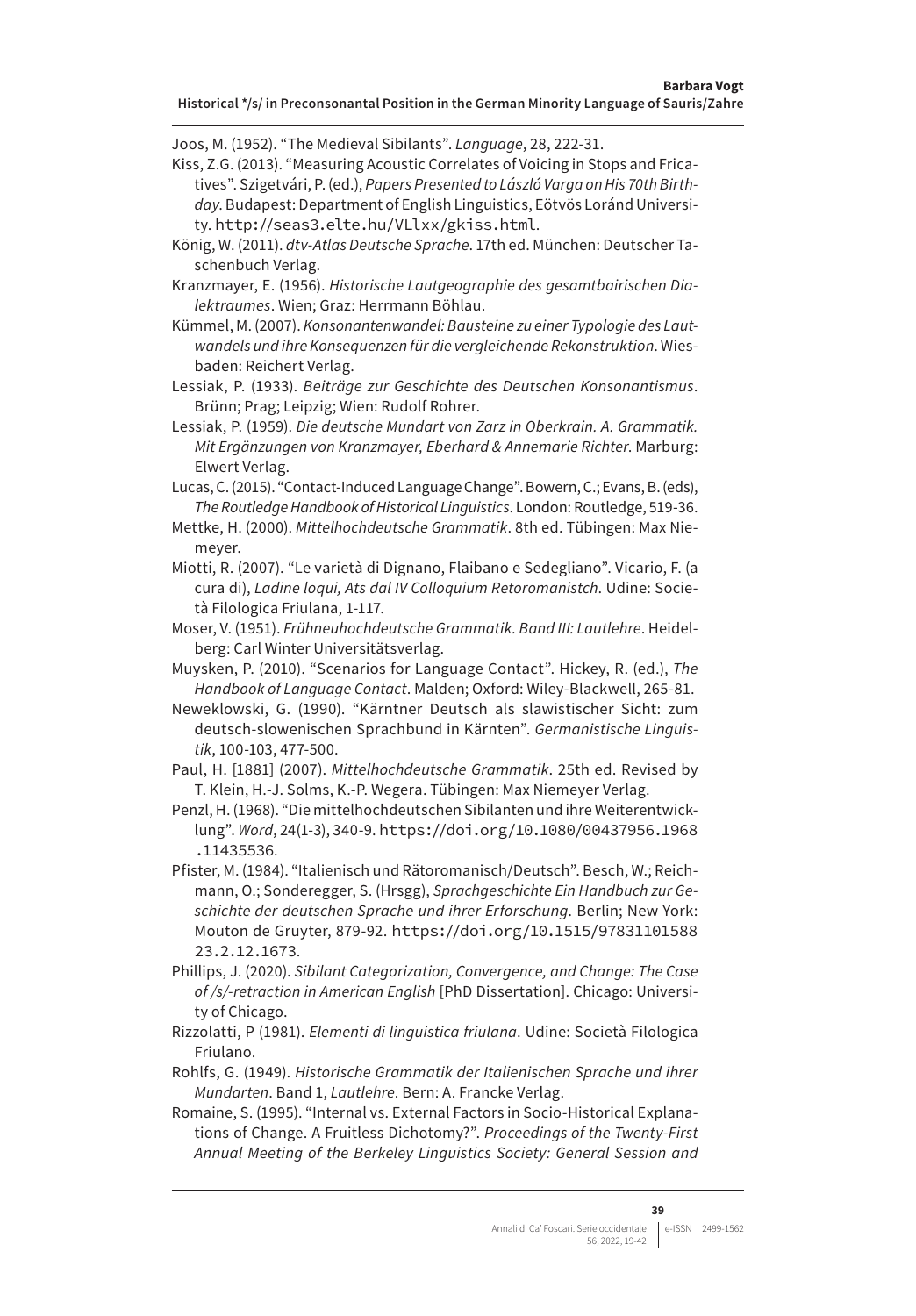Joos, M. (1952). "The Medieval Sibilants". *Language*, 28, 222-31.

- Kiss, Z.G. (2013). "Measuring Acoustic Correlates of Voicing in Stops and Fricatives". Szigetvári, P. (ed.), *Papers Presented to László Varga on His 70th Birthday*. Budapest: Department of English Linguistics, Eötvös Loránd University. <http://seas3.elte.hu/VLlxx/gkiss.html>.
- König, W. (2011). *dtv-Atlas Deutsche Sprache*. 17th ed. München: Deutscher Taschenbuch Verlag.

Kranzmayer, E. (1956). *Historische Lautgeographie des gesamtbairischen Dialektraumes*. Wien; Graz: Herrmann Böhlau.

Kümmel, M. (2007). *Konsonantenwandel: Bausteine zu einer Typologie des Lautwandels und ihre Konsequenzen für die vergleichende Rekonstruktion*. Wiesbaden: Reichert Verlag.

Lessiak, P. (1933). *Beiträge zur Geschichte des Deutschen Konsonantismus*. Brünn; Prag; Leipzig; Wien: Rudolf Rohrer.

Lessiak, P. (1959). *Die deutsche Mundart von Zarz in Oberkrain. A. Grammatik. Mit Ergänzungen von Kranzmayer, Eberhard & Annemarie Richter*. Marburg: Elwert Verlag.

Lucas, C. (2015). "Contact-Induced Language Change". Bowern, C.; Evans, B. (eds), *The Routledge Handbook of Historical Linguistics*. London: Routledge, 519-36.

Mettke, H. (2000). *Mittelhochdeutsche Grammatik*. 8th ed. Tübingen: Max Niemeyer.

- Miotti, R. (2007). "Le varietà di Dignano, Flaibano e Sedegliano". Vicario, F. (a cura di), *Ladine loqui, Ats dal IV Colloquium Retoromanistch*. Udine: Società Filologica Friulana, 1-117.
- Moser, V. (1951). *Frühneuhochdeutsche Grammatik. Band III: Lautlehre*. Heidelberg: Carl Winter Universitätsverlag.
- Muysken, P. (2010). "Scenarios for Language Contact". Hickey, R. (ed.), *The Handbook of Language Contact*. Malden; Oxford: Wiley-Blackwell, 265-81.

Neweklowski, G. (1990). "Kärntner Deutsch als slawistischer Sicht: zum deutsch-slowenischen Sprachbund in Kärnten". *Germanistische Linguistik*, 100-103, 477-500.

Paul, H. [1881] (2007). *Mittelhochdeutsche Grammatik*. 25th ed. Revised by T. Klein, H.-J. Solms, K.-P. Wegera. Tübingen: Max Niemeyer Verlag.

Penzl, H. (1968). "Die mittelhochdeutschen Sibilanten und ihre Weiterentwicklung". *Word*, 24(1-3), 340-9. [https://doi.org/10.1080/00437956.1968](https://doi.org/10.1080/00437956.1968.11435536) [.11435536](https://doi.org/10.1080/00437956.1968.11435536).

Pfister, M. (1984). "Italienisch und Rätoromanisch/Deutsch". Besch, W.; Reichmann, O.; Sonderegger, S. (Hrsgg), *Sprachgeschichte Ein Handbuch zur Geschichte der deutschen Sprache und ihrer Erforschung*. Berlin; New York: Mouton de Gruyter, 879-92. [https://doi.org/10.1515/97831101588](https://doi.org/10.1515/9783110158823.2.12.1673) [23.2.12.1673](https://doi.org/10.1515/9783110158823.2.12.1673).

Phillips, J. (2020). *Sibilant Categorization, Convergence, and Change: The Case of /s/-retraction in American English* [PhD Dissertation]. Chicago: University of Chicago.

Rizzolatti, P (1981). *Elementi di linguistica friulana*. Udine: Società Filologica Friulano.

Rohlfs, G. (1949). *Historische Grammatik der Italienischen Sprache und ihrer Mundarten*. Band 1, *Lautlehre*. Bern: A. Francke Verlag.

Romaine, S. (1995). "Internal vs. External Factors in Socio-Historical Explanations of Change. A Fruitless Dichotomy?". *Proceedings of the Twenty-First Annual Meeting of the Berkeley Linguistics Society: General Session and*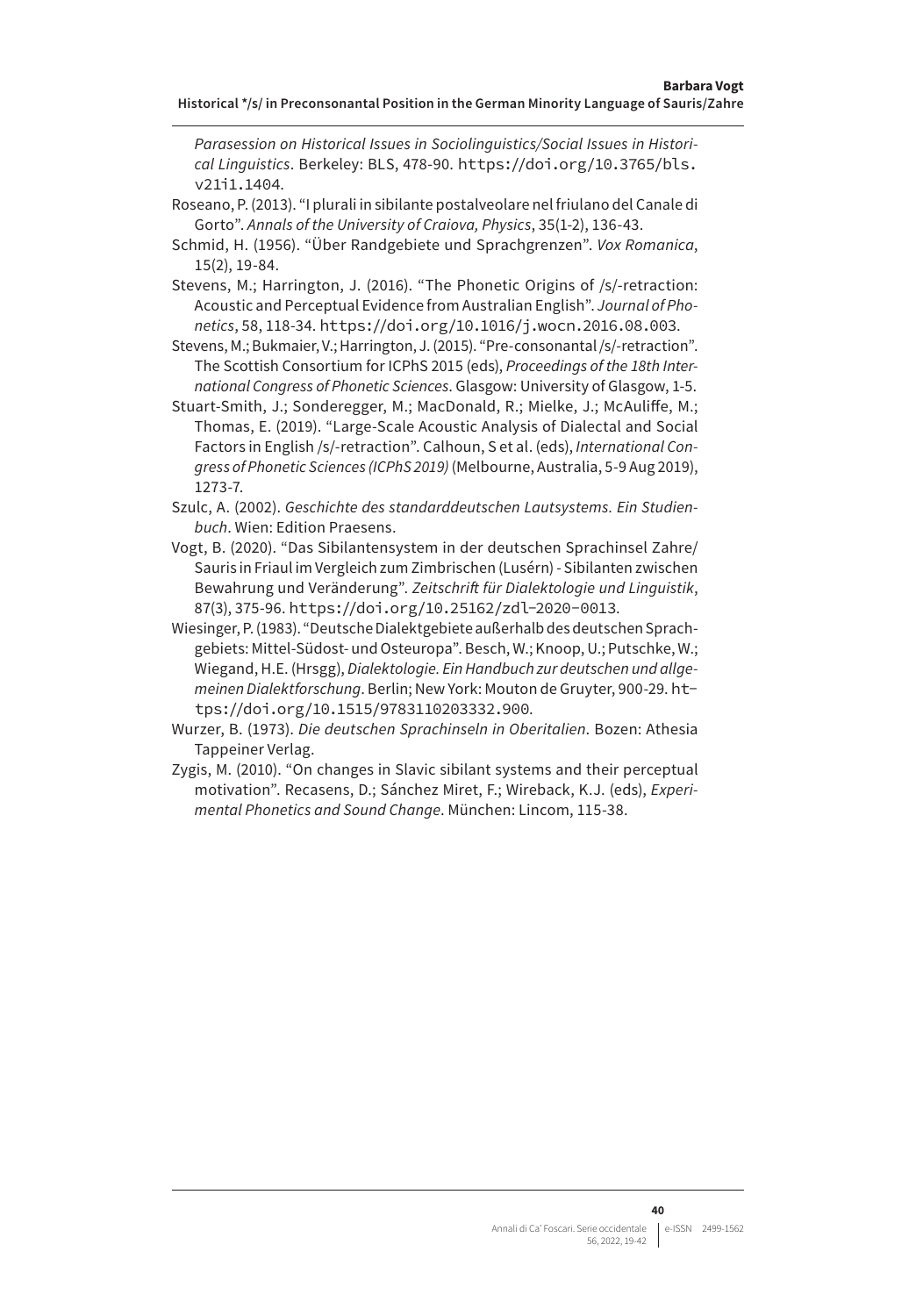*Parasession on Historical Issues in Sociolinguistics/Social Issues in Historical Linguistics*. Berkeley: BLS, 478-90. [https://doi.org/10.3765/bls.](https://doi.org/10.3765/bls.v21i1.1404) [v21i1.1404](https://doi.org/10.3765/bls.v21i1.1404).

- Roseano, P. (2013). "I plurali in sibilante postalveolare nel friulano del Canale di Gorto". *Annals of the University of Craiova, Physics*, 35(1-2), 136-43.
- Schmid, H. (1956). "Über Randgebiete und Sprachgrenzen". *Vox Romanica*, 15(2), 19-84.
- Stevens, M.; Harrington, J. (2016). "The Phonetic Origins of /s/-retraction: Acoustic and Perceptual Evidence from Australian English". *Journal of Phonetics*, 58, 118-34. <https://doi.org/10.1016/j.wocn.2016.08.003>.
- Stevens, M.; Bukmaier, V.; Harrington, J. (2015). "Pre-consonantal /s/-retraction". The Scottish Consortium for ICPhS 2015 (eds), *Proceedings of the 18th International Congress of Phonetic Sciences*. Glasgow: University of Glasgow, 1-5.
- Stuart-Smith, J.; Sonderegger, M.; MacDonald, R.; Mielke, J.; McAuliffe, M.; Thomas, E. (2019). "Large-Scale Acoustic Analysis of Dialectal and Social Factors in English /s/-retraction". Calhoun, S et al. (eds), *International Congress of Phonetic Sciences (ICPhS 2019)* (Melbourne, Australia, 5-9 Aug 2019), 1273-7.
- Szulc, A. (2002). *Geschichte des standarddeutschen Lautsystems. Ein Studienbuch*. Wien: Edition Praesens.
- Vogt, B. (2020). "Das Sibilantensystem in der deutschen Sprachinsel Zahre/ Sauris in Friaul im Vergleich zum Zimbrischen (Lusérn) - Sibilanten zwischen Bewahrung und Veränderung". *Zeitschrift für Dialektologie und Linguistik*, 87(3), 375-96. <https://doi.org/10.25162/zdl-2020-0013>.
- Wiesinger, P. (1983). "Deutsche Dialektgebiete außerhalb des deutschen Sprachgebiets: Mittel-Südost- und Osteuropa". Besch, W.; Knoop, U.; Putschke, W.; Wiegand, H.E. (Hrsgg), *Dialektologie. Ein Handbuch zur deutschen und allgemeinen Dialektforschung*. Berlin; New York: Mouton de Gruyter, 900-29. [ht](https://doi.org/10.1515/9783110203332.900)[tps://doi.org/10.1515/9783110203332.900](https://doi.org/10.1515/9783110203332.900).
- Wurzer, B. (1973). *Die deutschen Sprachinseln in Oberitalien*. Bozen: Athesia Tappeiner Verlag.
- Zygis, M. (2010). "On changes in Slavic sibilant systems and their perceptual motivation". Recasens, D.; Sánchez Miret, F.; Wireback, K.J. (eds), *Experimental Phonetics and Sound Change*. München: Lincom, 115-38.

**40**